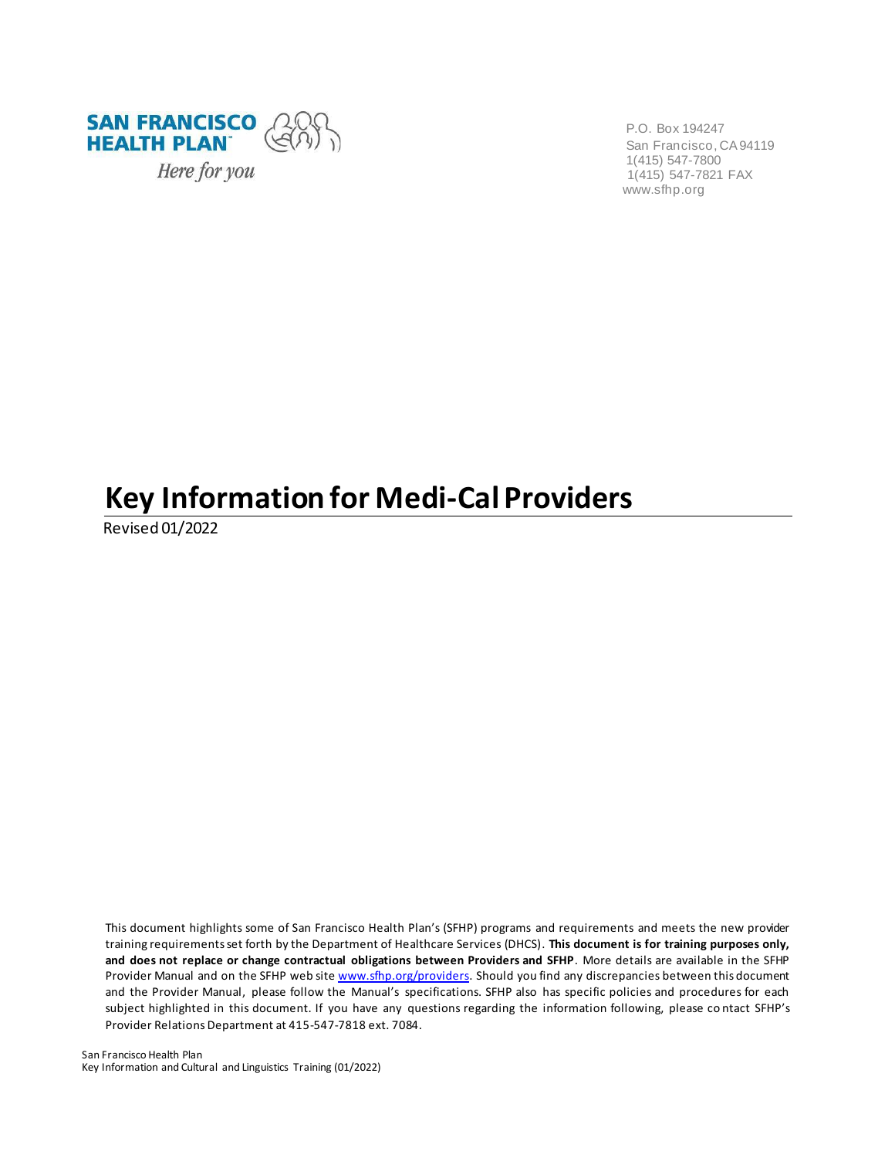

P.O. Box 194247 San Francisco, CA 94119 1(415) 547-7800 1(415) 547-7821 FAX [www.sfhp.org](http://www.sfhp.org/)

# **Key Information for Medi-Cal Providers**

Revised 01/2022

This document highlights some of San Francisco Health Plan's (SFHP) programs and requirements and meets the new provider training requirements set forth by the Department of Healthcare Services (DHCS). **This document is for training purposes only, and does not replace or change contractual obligations between Providers and SFHP**. More details are available in the SFHP Provider Manual and on the SFHP web sit[e www.sfhp.org/providers. S](http://www.sfhp.org/providers)hould you find any discrepancies between this document and the Provider Manual, please follow the Manual's specifications. SFHP also has specific policies and procedures for each subject highlighted in this document. If you have any questions regarding the information following, please co ntact SFHP's Provider Relations Department at 415-547-7818 ext. 7084.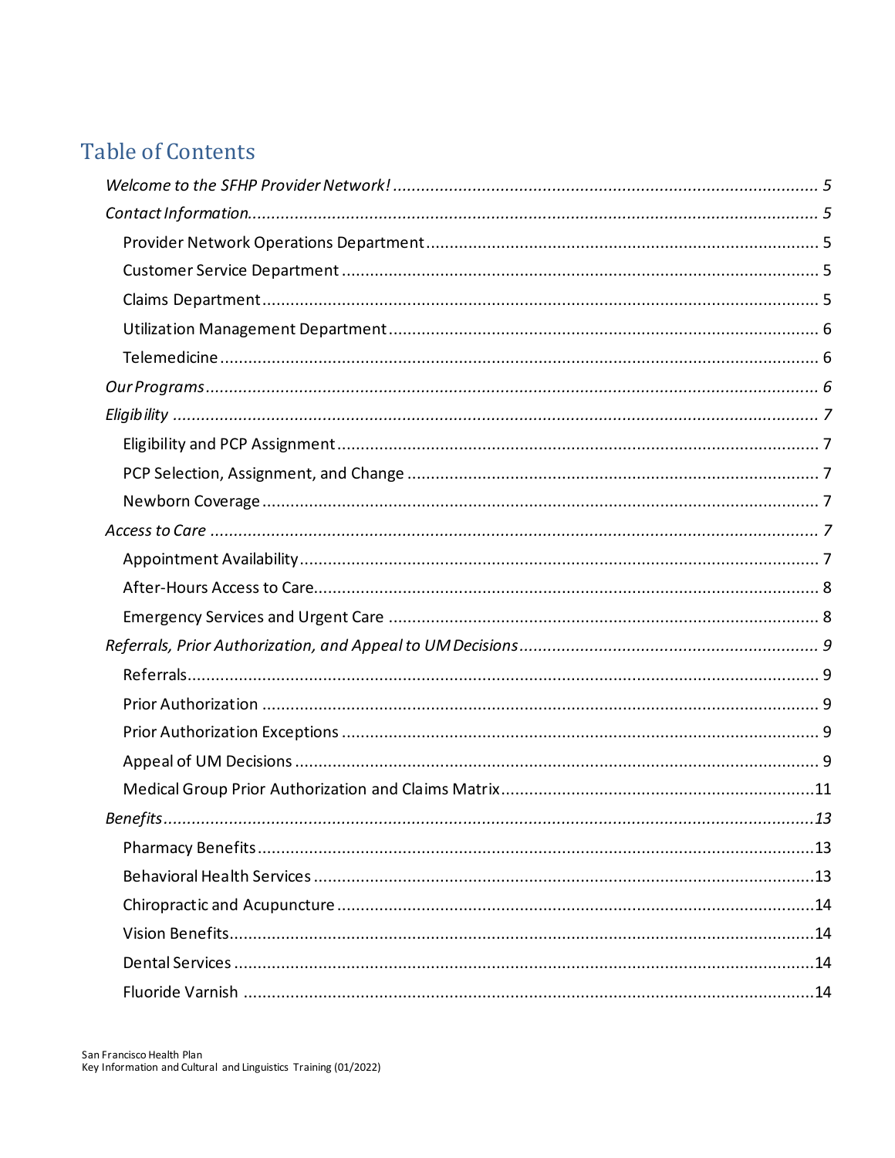# **Table of Contents**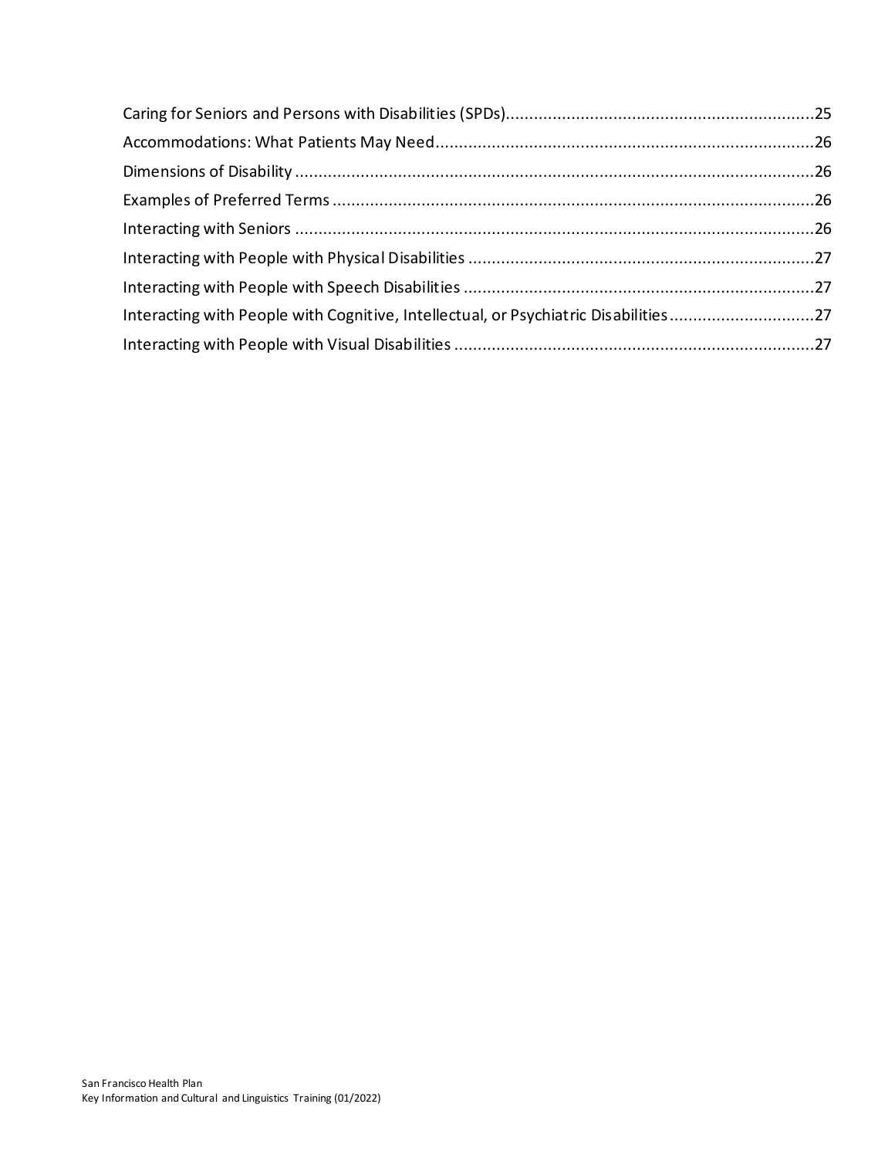| Interacting with People with Cognitive, Intellectual, or Psychiatric Disabilities27 |  |
|-------------------------------------------------------------------------------------|--|
|                                                                                     |  |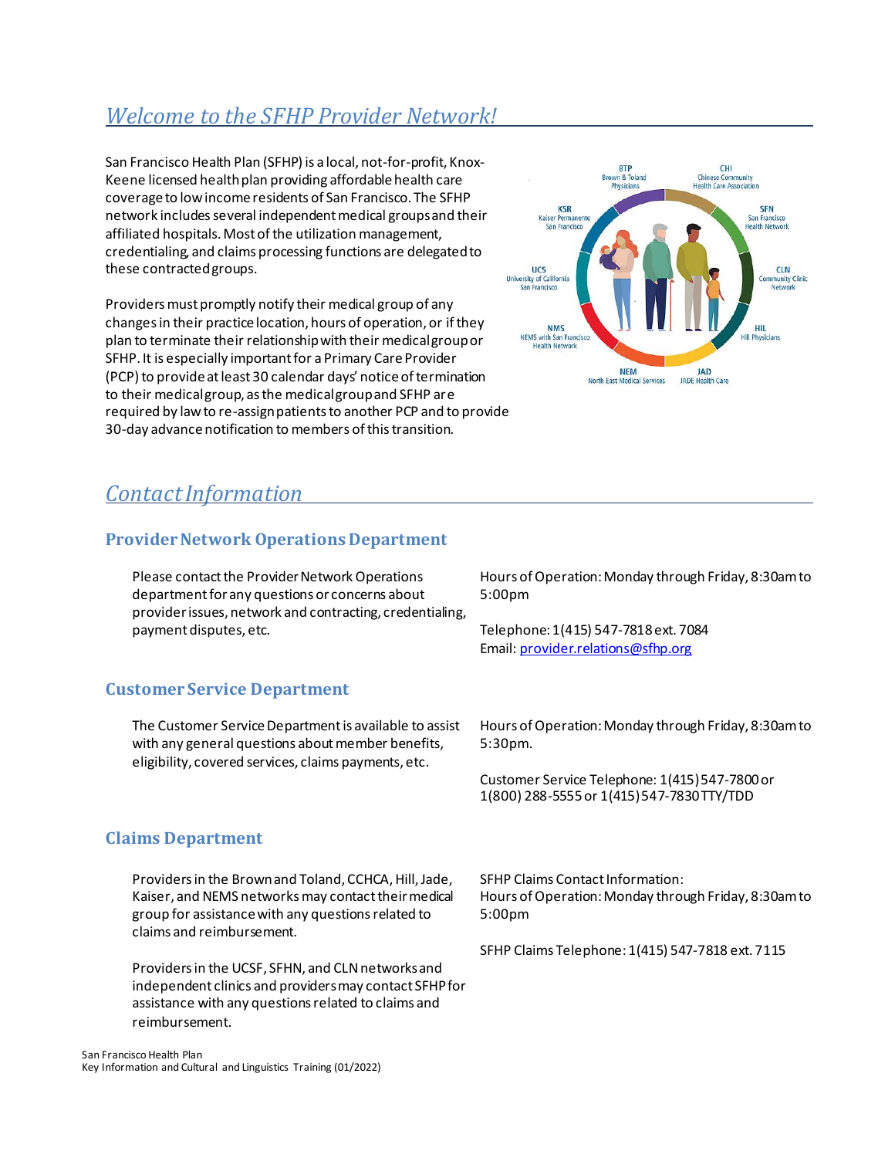# <span id="page-4-0"></span>*Welcome to the SFHP Provider Network!*

San Francisco Health Plan (SFHP) is a local, not-for-profit, Knox-Keene licensed health plan providing affordable health care coverage to low income residents of San Francisco. The SFHP network includes several independent medical groups and their affiliated hospitals. Most of the utilization management, credentialing, and claims processing functions are delegated to these contracted groups.

Providers must promptly notify their medical group of any changes in their practice location, hours of operation, or if they plan to terminate their relationship with their medical group or SFHP. It is especially important for a Primary Care Provider (PCP) to provide at least 30 calendar days' notice of termination to their medical group, as the medical group and SFHP are required by law to re-assign patients to another PCP and to provide 30-day advance notification to members of this transition.



# <span id="page-4-1"></span>*ContactInformation*

# <span id="page-4-2"></span>**Provider Network Operations Department**

Please contact the Provider Network Operations department for any questions or concerns about provider issues, network and contracting, credentialing, payment disputes, etc.

Hours of Operation: Monday through Friday, 8:30am to 5:00pm

Telephone: 1(415) 547-7818 ext. 7084 Email[: provider.relations@sfhp.org](mailto:provider.relations@sfhp.org)

# <span id="page-4-3"></span>**Customer Service Department**

The Customer Service Department is available to assist with any general questions about member benefits, eligibility, covered services, claims payments, etc.

<span id="page-4-4"></span>**Claims Department**

Providers in the Brown and Toland, CCHCA, Hill, Jade, Kaiser, and NEMS networks may contact their medical group for assistance with any questions related to claims and reimbursement.

Providers in the UCSF, SFHN, and CLN networksand independent clinics and providers may contact SFHP for assistance with any questions related to claims and reimbursement.

Hours of Operation: Monday through Friday, 8:30am to 5:30pm.

Customer Service Telephone: 1(415) 547-7800 or 1(800) 288-5555 or 1(415) 547-7830 TTY/TDD

SFHP Claims Contact Information: Hours of Operation: Monday through Friday, 8:30am to 5:00pm

SFHP Claims Telephone: 1(415) 547-7818 ext. 7115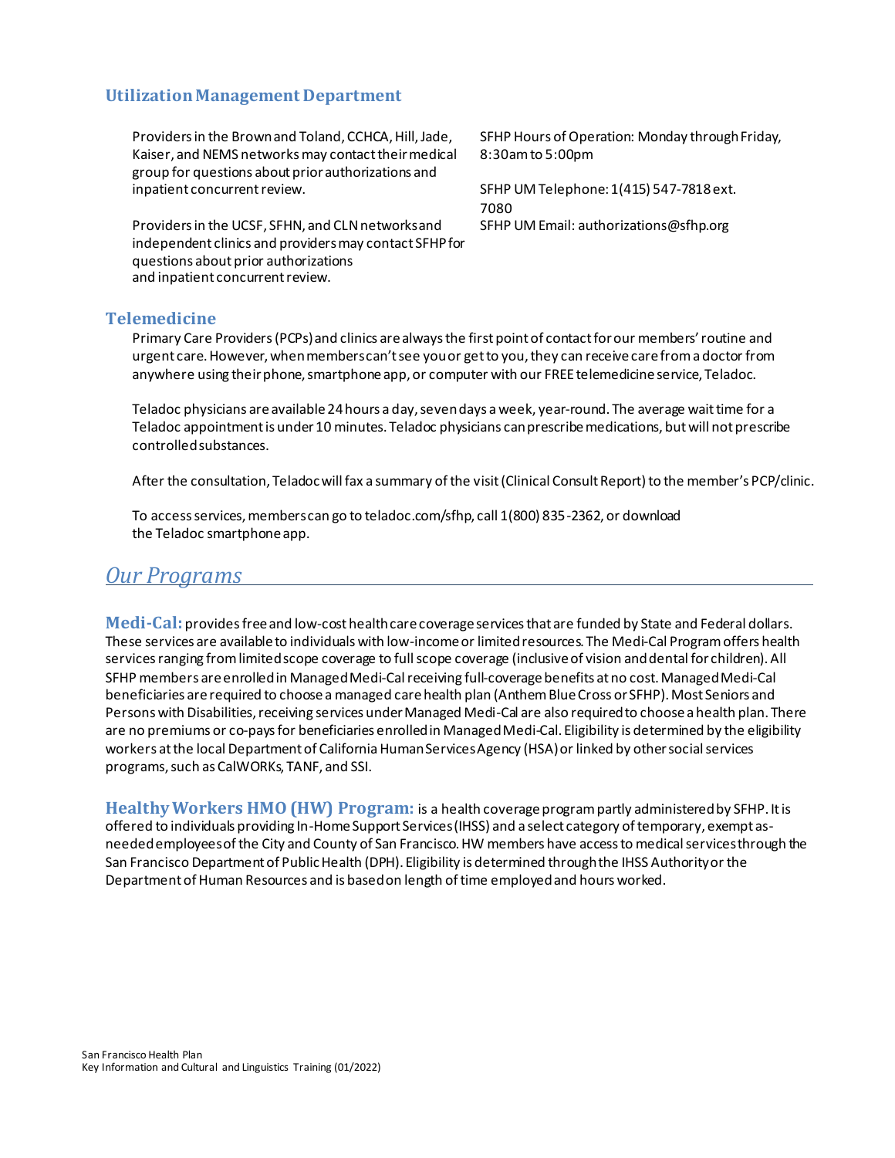#### <span id="page-5-0"></span>**Utilization Management Department**

Providers in the Brown and Toland, CCHCA, Hill, Jade, Kaiser, and NEMS networks may contact their medical group for questions about prior authorizations and inpatient concurrent review.

Providers in the UCSF, SFHN, and CLN networks and independent clinics and providers may contact SFHP for questions about prior authorizations and inpatient concurrent review.

SFHP Hours of Operation: Monday through Friday, 8:30am to 5:00pm

SFHP UM Telephone: 1(415) 547-7818 ext. 7080 SFHP UM Email[: authorizations@sfhp.org](mailto:authorizations@sfhp.org)

#### <span id="page-5-1"></span>**Telemedicine**

Primary Care Providers (PCPs) and clinics are always the first point of contact for our members' routine and urgent care. However, when members can't see you or get to you, they can receive care from a doctor from anywhere using their phone, smartphone app, or computer with our FREE telemedicine service, Teladoc.

Teladoc physicians are available 24 hours a day, seven days a week, year-round. The average wait time for a Teladoc appointment is under 10 minutes. Teladoc physicians can prescribe medications, but will not prescribe controlled substances.

After the consultation, Teladoc will fax a summary of the visi[t\(Clinical Consult Report](https://www.sfhp.org/files/providers/CCR%20EXAMPLE.pdf)) to the member's PCP/clinic.

To access services, members can go to teladoc.com/sfhp, call 1(800) 835-2362, or download the Teladoc smartphone app.

#### <span id="page-5-2"></span>*Our Programs*

**Medi-Cal:** provides free and low-cost health care coverage services that are funded by State and Federal dollars. These services are available to individuals with low-income or limited resources. The Medi-Cal Program offers health services ranging from limited scope coverage to full scope coverage (inclusive of vision and dental for children). All SFHP members are enrolled in Managed Medi-Cal receiving full-coverage benefits at no cost. Managed Medi-Cal beneficiaries are required to choose a managed care health plan (Anthem Blue Cross or SFHP). Most Seniors and Persons with Disabilities, receiving services under Managed Medi-Cal are also required to choose a health plan. There are no premiums or co-pays for beneficiaries enrolled in Managed Medi-Cal. Eligibility is determined by the eligibility workers at the local Department of California Human Services Agency (HSA) or linked by other social services programs, such as CalWORKs, TANF, and SSI.

**Healthy Workers HMO (HW) Program:** is a health coverage program partly administered by SFHP. It is offered to individuals providing In-Home Support Services (IHSS) and a select category of temporary, exempt asneeded employees of the City and County of San Francisco. HW members have access to medical servicesthrough the San Francisco Department of Public Health (DPH). Eligibility is determined through the IHSS Authority or the Department of Human Resources and is based on length of time employed and hours worked.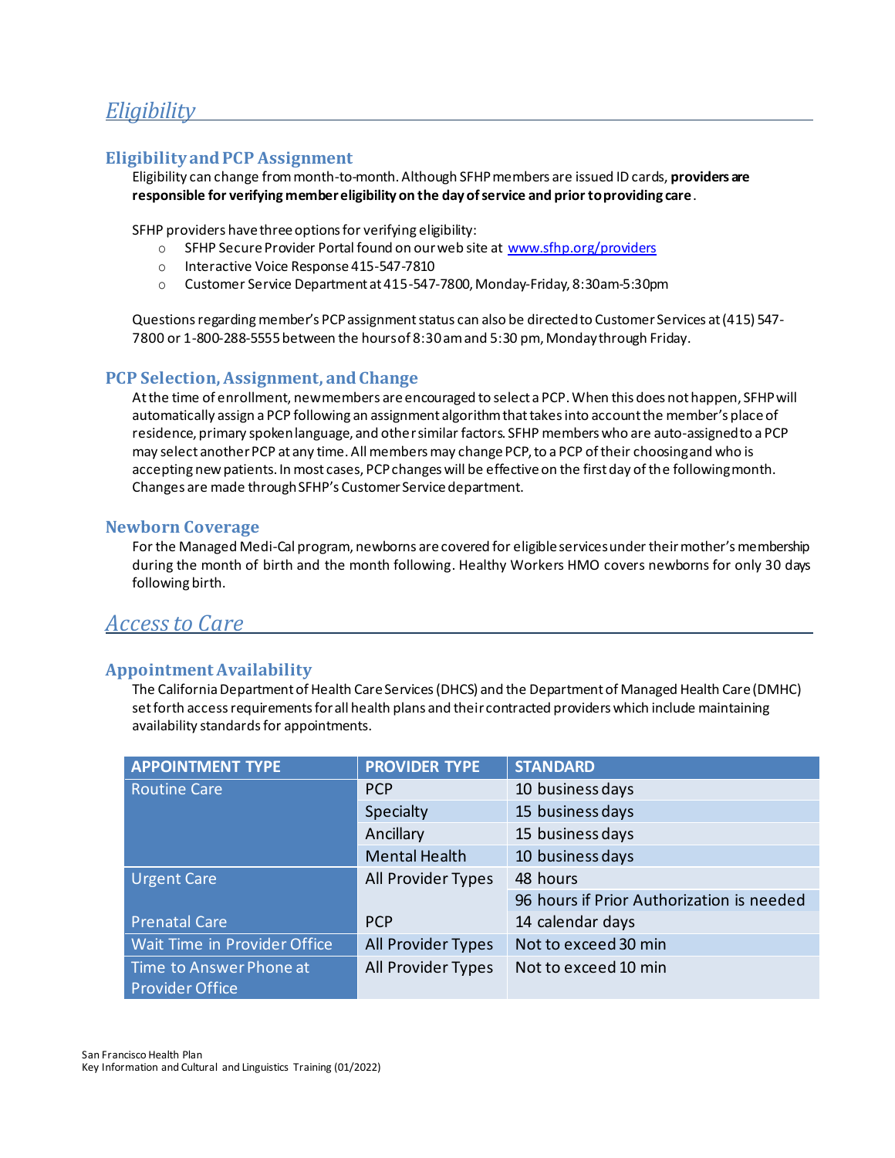# <span id="page-6-0"></span>*Eligibility*

### <span id="page-6-1"></span>**Eligibility and PCP Assignment**

Eligibility can change from month-to-month. Although SFHP members are issued ID cards, **providers are responsible for verifying member eligibility on the day of service and prior to providing care**.

SFHP providers have three options for verifying eligibility:

- o SFHP Secure Provider Portal found on our web site at [www.sfhp.org/providers](http://www.sfhp.org/providers)
- o Interactive Voice Response 415-547-7810
- o Customer Service Department at 415-547-7800, Monday-Friday, 8:30am-5:30pm

Questions regarding member's PCP assignment status can also be directed to Customer Services at (415) 547- 7800 or 1-800-288-5555 between the hours of 8:30 am and 5:30 pm, Monday through Friday.

#### <span id="page-6-2"></span>**PCP Selection, Assignment, and Change**

At the time of enrollment, new members are encouraged to select a PCP. When this does not happen, SFHP will automatically assign a PCP following an assignment algorithm that takes into account the member's place of residence, primary spoken language, and other similar factors. SFHP members who are auto-assigned to a PCP may select another PCP at any time. All members may change PCP, to a PCP of their choosing and who is accepting new patients. In most cases, PCP changes will be effective on the first day of the following month. Changes are made through SFHP's Customer Service department.

#### <span id="page-6-3"></span>**Newborn Coverage**

For the Managed Medi-Cal program, newborns are covered for eligible services under their mother's membership during the month of birth and the month following. Healthy Workers HMO covers newborns for only 30 days following birth.

# <span id="page-6-4"></span>*Access to Care*

#### <span id="page-6-5"></span>**Appointment Availability**

The California Department of Health Care Services (DHCS) and the Department of Managed Health Care (DMHC) set forth access requirements for all health plans and their contracted providers which include maintaining availability standards for appointments.

| <b>PROVIDER TYPE</b> | <b>STANDARD</b>                           |
|----------------------|-------------------------------------------|
| <b>PCP</b>           | 10 business days                          |
| Specialty            | 15 business days                          |
| Ancillary            | 15 business days                          |
| <b>Mental Health</b> | 10 business days                          |
| All Provider Types   | 48 hours                                  |
|                      | 96 hours if Prior Authorization is needed |
| <b>PCP</b>           | 14 calendar days                          |
| All Provider Types   | Not to exceed 30 min                      |
| All Provider Types   | Not to exceed 10 min                      |
|                      |                                           |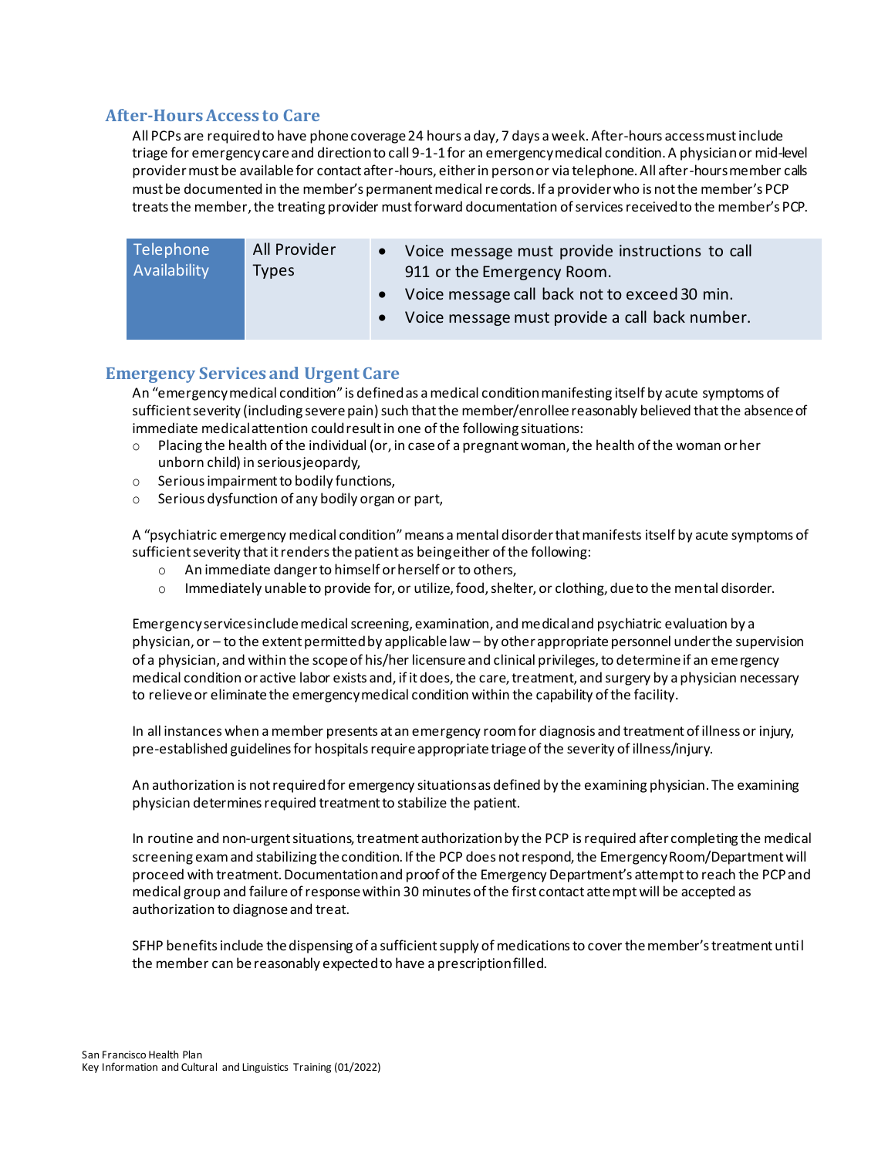### <span id="page-7-0"></span>**After-Hours Access to Care**

All PCPs are required to have phone coverage 24 hours a day, 7 days a week. After-hours access must include triage for emergency care and direction to call 9-1-1 for an emergency medical condition. A physician or mid-level provider must be available for contact after-hours, either in person or via telephone. All after-hours member calls must be documented in the member's permanent medical records. If a provider who is not the member's PCP treats the member, the treating provider must forward documentation of services received to the member's PCP.

| Telephone    | All Provider | • Voice message must provide instructions to call                                                   |
|--------------|--------------|-----------------------------------------------------------------------------------------------------|
| Availability | <b>Types</b> | 911 or the Emergency Room.                                                                          |
|              |              | • Voice message call back not to exceed 30 min.<br>• Voice message must provide a call back number. |

# <span id="page-7-1"></span>**Emergency Services and Urgent Care**

An "emergency medical condition" is defined as a medical condition manifesting itself by acute symptoms of sufficient severity (including severe pain) such that the member/enrollee reasonably believed that the absence of immediate medical attention could result in one of the following situations:

- $\circ$  Placing the health of the individual (or, in case of a pregnant woman, the health of the woman or her unborn child) in serious jeopardy,
- o Serious impairment to bodily functions,
- o Serious dysfunction of any bodily organ or part,

A "psychiatric emergency medical condition" means a mental disorder that manifests itself by acute symptoms of sufficient severity that it renders the patient as being either of the following:

- o An immediate danger to himself or herself or to others,
- o Immediately unable to provide for, or utilize, food, shelter, or clothing, due to the mental disorder.

Emergency services include medical screening, examination, and medical and psychiatric evaluation by a physician, or – to the extent permitted by applicable law – by other appropriate personnel under the supervision of a physician, and within the scope of his/her licensure and clinical privileges, to determine if an emergency medical condition or active labor exists and, if it does, the care, treatment, and surgery by a physician necessary to relieve or eliminate the emergency medical condition within the capability of the facility.

In all instances when a member presents at an emergency room for diagnosis and treatment of illness or injury, pre-established guidelines for hospitals require appropriate triage of the severity of illness/injury.

An authorization is not required for emergency situations as defined by the examining physician. The examining physician determines required treatment to stabilize the patient.

In routine and non-urgent situations, treatment authorization by the PCP is required after completing the medical screening exam and stabilizing the condition. If the PCP does not respond, the Emergency Room/Department will proceed with treatment. Documentation and proof of the Emergency Department's attempt to reach the PCP and medical group and failure of response within 30 minutes of the first contact attempt will be accepted as authorization to diagnose and treat.

SFHP benefits include the dispensing of a sufficient supply of medications to cover the member's treatment until the member can be reasonably expected to have a prescription filled.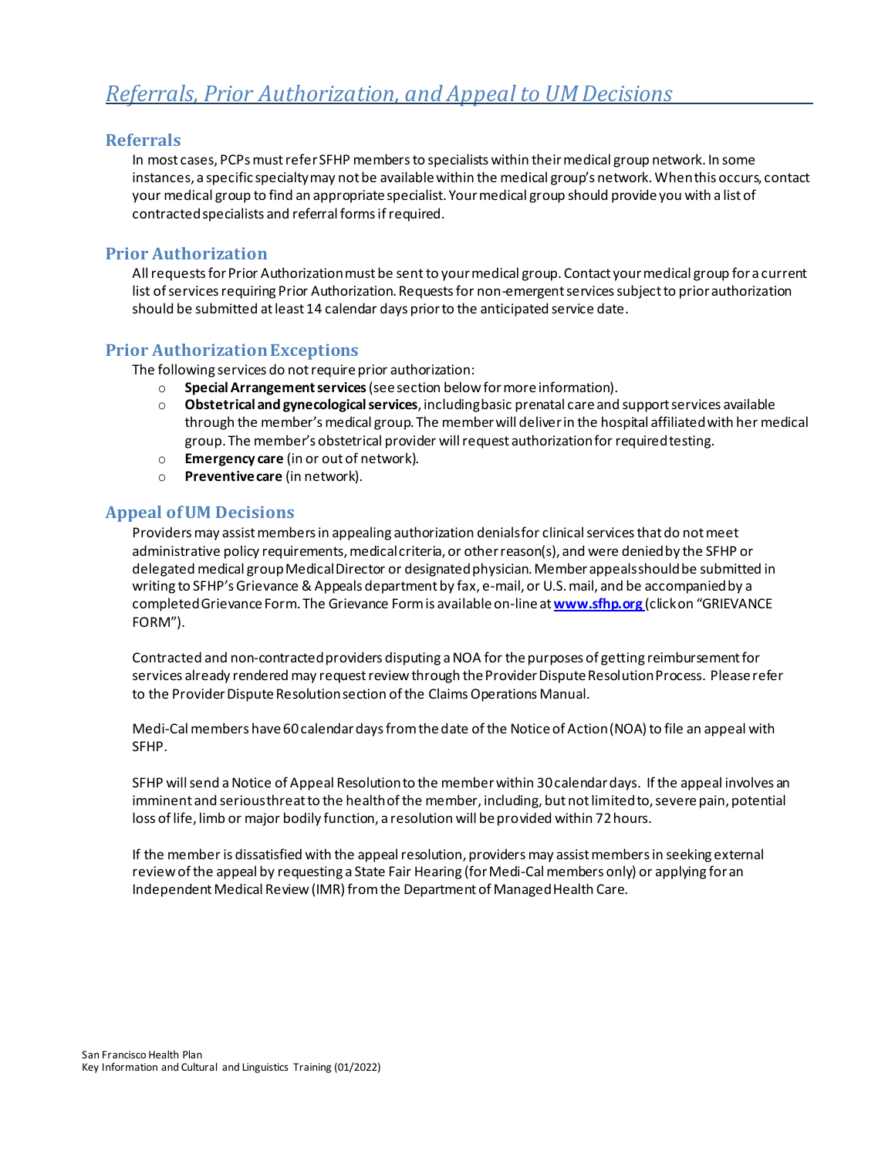#### <span id="page-8-1"></span><span id="page-8-0"></span>**Referrals**

In most cases, PCPs must refer SFHP members to specialists within their medical group network. In some instances, a specific specialty may not be available within the medical group's network. When this occurs, contact your medical group to find an appropriate specialist. Your medical group should provide you with a list of contracted specialists and referral forms if required.

#### <span id="page-8-2"></span>**Prior Authorization**

All requests for Prior Authorization must be sent to your medical group. Contact your medical group for a current list of services requiring Prior Authorization. Requests for non-emergent services subject to prior authorization should be submitted at least 14 calendar days prior to the anticipated service date.

#### <span id="page-8-3"></span>**Prior Authorization Exceptions**

The following services do not require prior authorization:

- o **Special Arrangement services** (see section belowfor moreinformation).
- o **Obstetrical and gynecological services**, including basic prenatal care and support services available through the member's medical group. The member will deliver in the hospital affiliated with her medical group. The member's obstetrical provider will request authorization for required testing.
- o **Emergency care** (in or out of network).
- o **Preventive care** (in network).

#### <span id="page-8-4"></span>**Appeal of UM Decisions**

Providers may assist members in appealing authorization denials for clinical services that do not meet administrative policy requirements, medical criteria, or other reason(s), and were denied by the SFHP or delegated medical group Medical Director or designated physician. Member appeals should be submitted in writing to SFHP's Grievance & Appeals department by fax, e-mail, or U.S. mail, and be accompanied by a completed Grievance Form. The Grievance Form is available on-line at **www.sfhp.org** (click on "GRIEVANCE FORM").

Contracted and non-contracted providers disputing a NOA for the purposes of getting reimbursement for services already rendered may request review through the Provider Dispute Resolution Process. Please refer to the Provider Dispute Resolution section of the Claims Operations Manual.

Medi-Cal members have 60 calendar days from the date of the Notice of Action (NOA) to file an appeal with SFHP.

SFHP will send a Notice of Appeal Resolution to the member within 30 calendar days. If the appeal involves an imminent and serious threat to the health of the member, including, but not limited to, severe pain, potential loss of life, limb or major bodily function, a resolution will be provided within 72 hours.

If the member is dissatisfied with the appeal resolution, providers may assist members in seeking external review of the appeal by requesting a State Fair Hearing (for Medi-Cal members only) or applying for an Independent Medical Review (IMR) from the Department of Managed Health Care.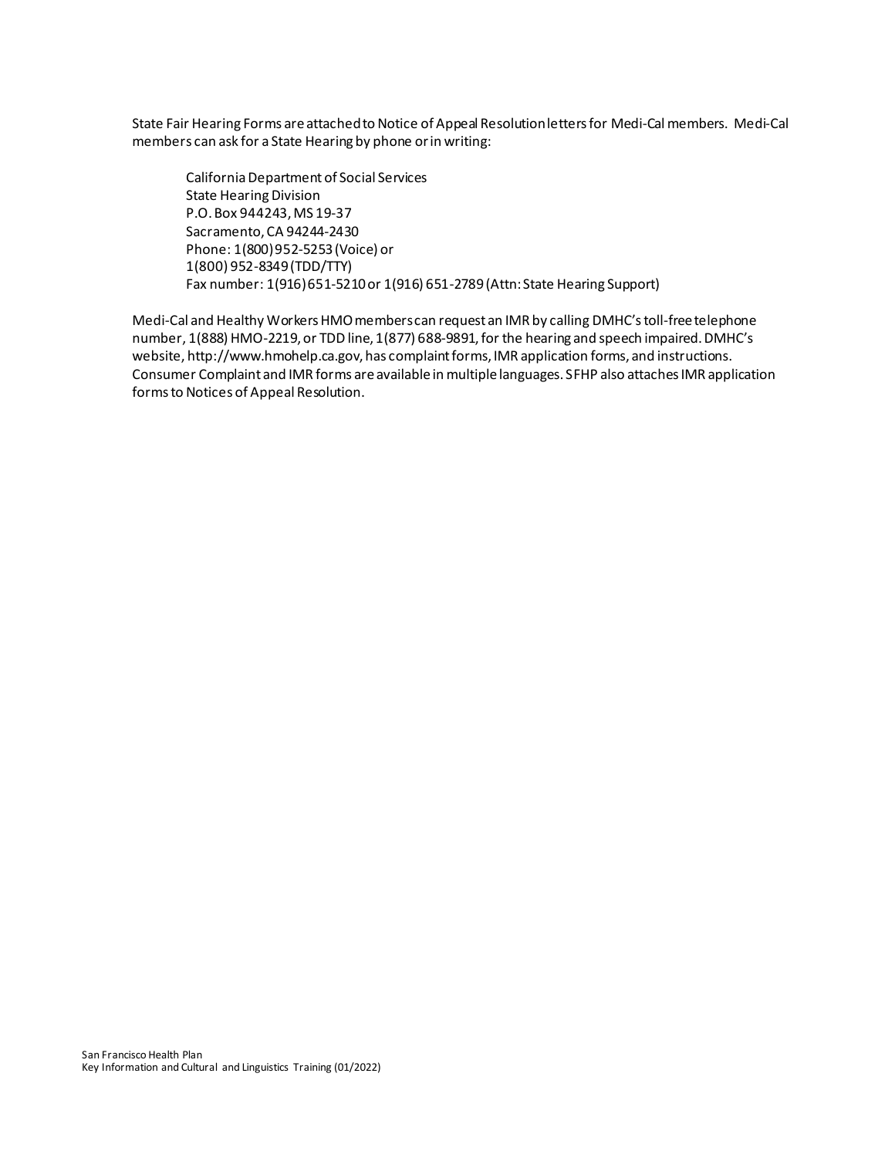State Fair Hearing Forms are attached to Notice of Appeal Resolution letters for Medi-Cal members. Medi-Cal members can ask for a State Hearing by phone or in writing:

California Department of Social Services State Hearing Division P.O. Box 944243, MS 19-37 Sacramento, CA 94244-2430 Phone: 1(800) 952-5253 (Voice) or 1(800) 952-8349 (TDD/TTY) Fax number: 1(916) 651-5210 or 1(916) 651-2789 (Attn: State Hearing Support)

Medi-Cal and Healthy Workers HMO members can request an IMR by calling DMHC's toll-free telephone number, 1(888) HMO-2219, or TDD line, 1(877) 688-9891, for the hearing and speech impaired. DMHC's website[, http://www.hmohelp.ca.gov](http://www.hmohelp.ca.gov/), has complaint forms, IMR application forms, and instructions. Consumer Complaint and IMR forms are available in multiple languages. SFHP also attaches IMR application forms to Notices of Appeal Resolution.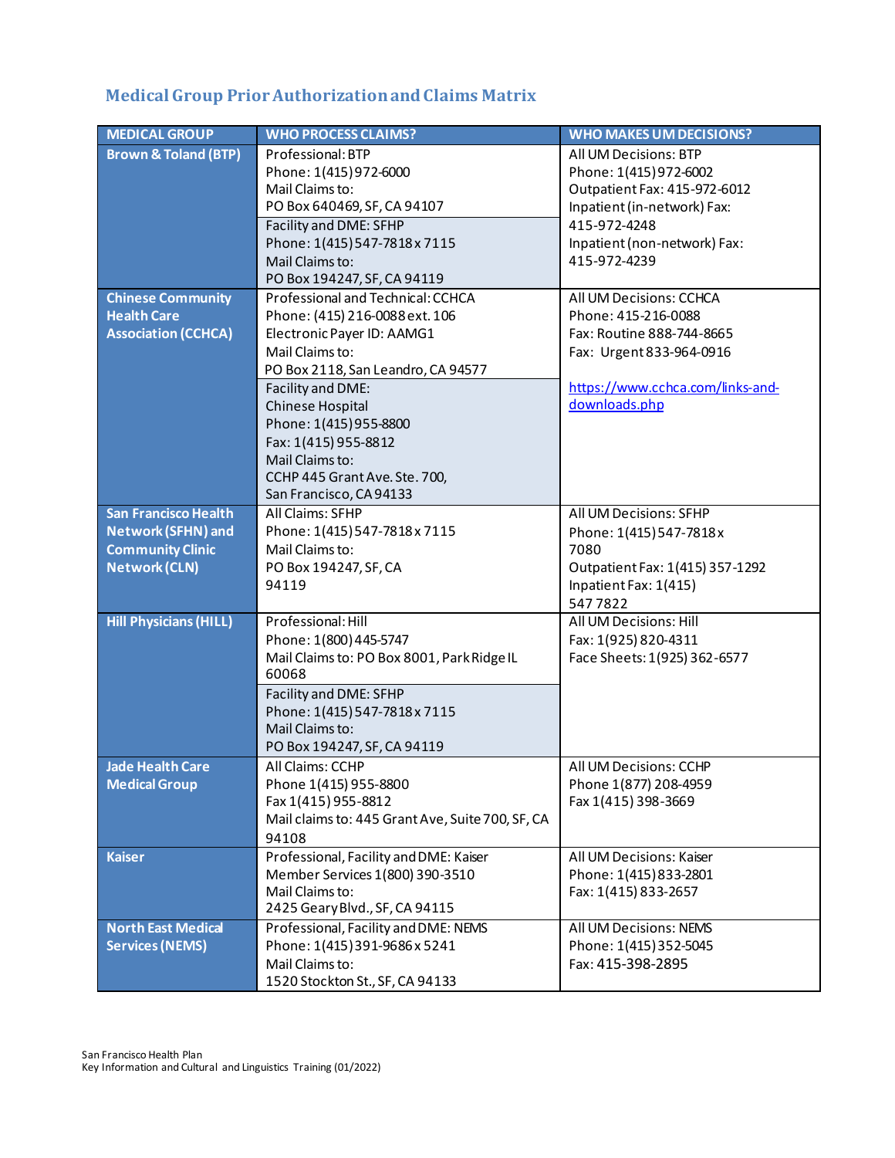# <span id="page-10-0"></span>**Medical Group Prior Authorization and Claims Matrix**

| <b>MEDICAL GROUP</b>            | <b>WHO PROCESS CLAIMS?</b>                                           | <b>WHO MAKES UM DECISIONS?</b>                       |
|---------------------------------|----------------------------------------------------------------------|------------------------------------------------------|
| <b>Brown &amp; Toland (BTP)</b> | Professional: BTP                                                    | All UM Decisions: BTP                                |
|                                 | Phone: 1(415) 972-6000                                               | Phone: 1(415) 972-6002                               |
|                                 | Mail Claims to:                                                      | Outpatient Fax: 415-972-6012                         |
|                                 | PO Box 640469, SF, CA 94107                                          | Inpatient (in-network) Fax:                          |
|                                 | Facility and DME: SFHP                                               | 415-972-4248                                         |
|                                 | Phone: 1(415) 547-7818 x 7115                                        | Inpatient (non-network) Fax:                         |
|                                 | Mail Claims to:                                                      | 415-972-4239                                         |
|                                 | PO Box 194247, SF, CA 94119                                          |                                                      |
| <b>Chinese Community</b>        | Professional and Technical: CCHCA                                    | All UM Decisions: CCHCA                              |
| <b>Health Care</b>              | Phone: (415) 216-0088 ext. 106                                       | Phone: 415-216-0088                                  |
| <b>Association (CCHCA)</b>      | Electronic Payer ID: AAMG1                                           | Fax: Routine 888-744-8665                            |
|                                 | Mail Claims to:                                                      | Fax: Urgent 833-964-0916                             |
|                                 | PO Box 2118, San Leandro, CA 94577                                   |                                                      |
|                                 | Facility and DME:                                                    | https://www.cchca.com/links-and-                     |
|                                 | <b>Chinese Hospital</b>                                              | downloads.php                                        |
|                                 | Phone: 1(415) 955-8800                                               |                                                      |
|                                 | Fax: 1(415) 955-8812                                                 |                                                      |
|                                 | Mail Claims to:                                                      |                                                      |
|                                 | CCHP 445 Grant Ave. Ste. 700,                                        |                                                      |
|                                 | San Francisco, CA 94133                                              |                                                      |
| <b>San Francisco Health</b>     | All Claims: SFHP                                                     | All UM Decisions: SFHP                               |
| <b>Network (SFHN) and</b>       | Phone: 1(415) 547-7818 x 7115                                        | Phone: 1(415) 547-7818 x                             |
| <b>Community Clinic</b>         | Mail Claims to:                                                      | 7080                                                 |
| <b>Network (CLN)</b>            | PO Box 194247, SF, CA                                                | Outpatient Fax: 1(415) 357-1292                      |
|                                 | 94119                                                                | Inpatient Fax: 1(415)                                |
| <b>Hill Physicians (HILL)</b>   | Professional: Hill                                                   | 5477822<br>All UM Decisions: Hill                    |
|                                 |                                                                      |                                                      |
|                                 | Phone: 1(800) 445-5747<br>Mail Claims to: PO Box 8001, Park Ridge IL | Fax: 1(925) 820-4311<br>Face Sheets: 1(925) 362-6577 |
|                                 | 60068                                                                |                                                      |
|                                 | Facility and DME: SFHP                                               |                                                      |
|                                 | Phone: 1(415) 547-7818 x 7115                                        |                                                      |
|                                 | Mail Claims to:                                                      |                                                      |
|                                 | PO Box 194247, SF, CA 94119                                          |                                                      |
| <b>Jade Health Care</b>         | All Claims: CCHP                                                     | All UM Decisions: CCHP                               |
| <b>Medical Group</b>            | Phone 1(415) 955-8800                                                | Phone 1(877) 208-4959                                |
|                                 | Fax 1(415) 955-8812                                                  | Fax 1(415) 398-3669                                  |
|                                 | Mail claims to: 445 Grant Ave, Suite 700, SF, CA                     |                                                      |
|                                 | 94108                                                                |                                                      |
| <b>Kaiser</b>                   | Professional, Facility and DME: Kaiser                               | All UM Decisions: Kaiser                             |
|                                 | Member Services 1(800) 390-3510                                      | Phone: 1(415) 833-2801                               |
|                                 | Mail Claims to:                                                      | Fax: 1(415) 833-2657                                 |
|                                 | 2425 Geary Blvd., SF, CA 94115                                       |                                                      |
| <b>North East Medical</b>       | Professional, Facility and DME: NEMS                                 | All UM Decisions: NEMS                               |
| <b>Services (NEMS)</b>          | Phone: 1(415) 391-9686 x 5241                                        | Phone: 1(415) 352-5045                               |
|                                 | Mail Claims to:                                                      | Fax: 415-398-2895                                    |
|                                 | 1520 Stockton St., SF, CA 94133                                      |                                                      |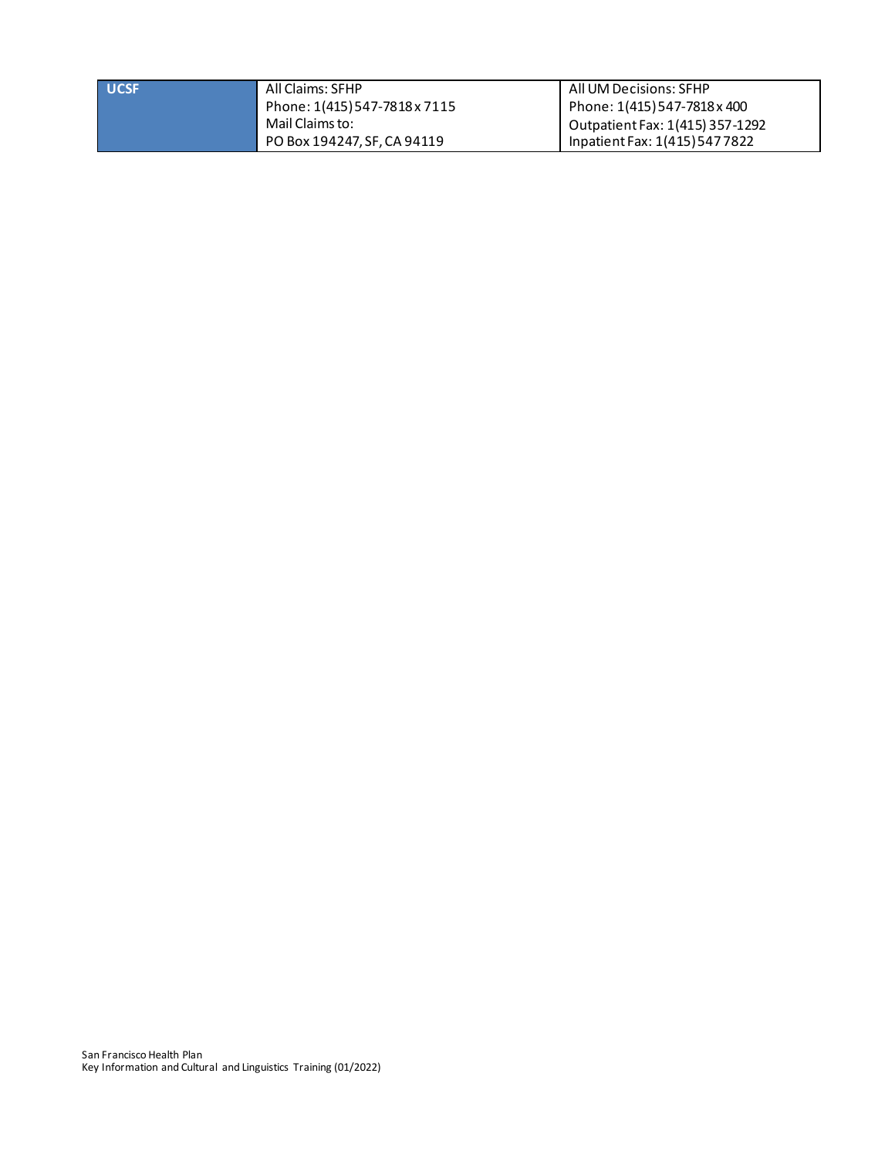| <b>UCSF</b> | All Claims: SFHP              | All UM Decisions: SFHP          |
|-------------|-------------------------------|---------------------------------|
|             | Phone: 1(415) 547-7818 x 7115 | Phone: 1(415) 547-7818 x 400    |
|             | Mail Claims to:               | Outpatient Fax: 1(415) 357-1292 |
|             | PO Box 194247, SF, CA 94119   | Inpatient Fax: 1(415) 547 7822  |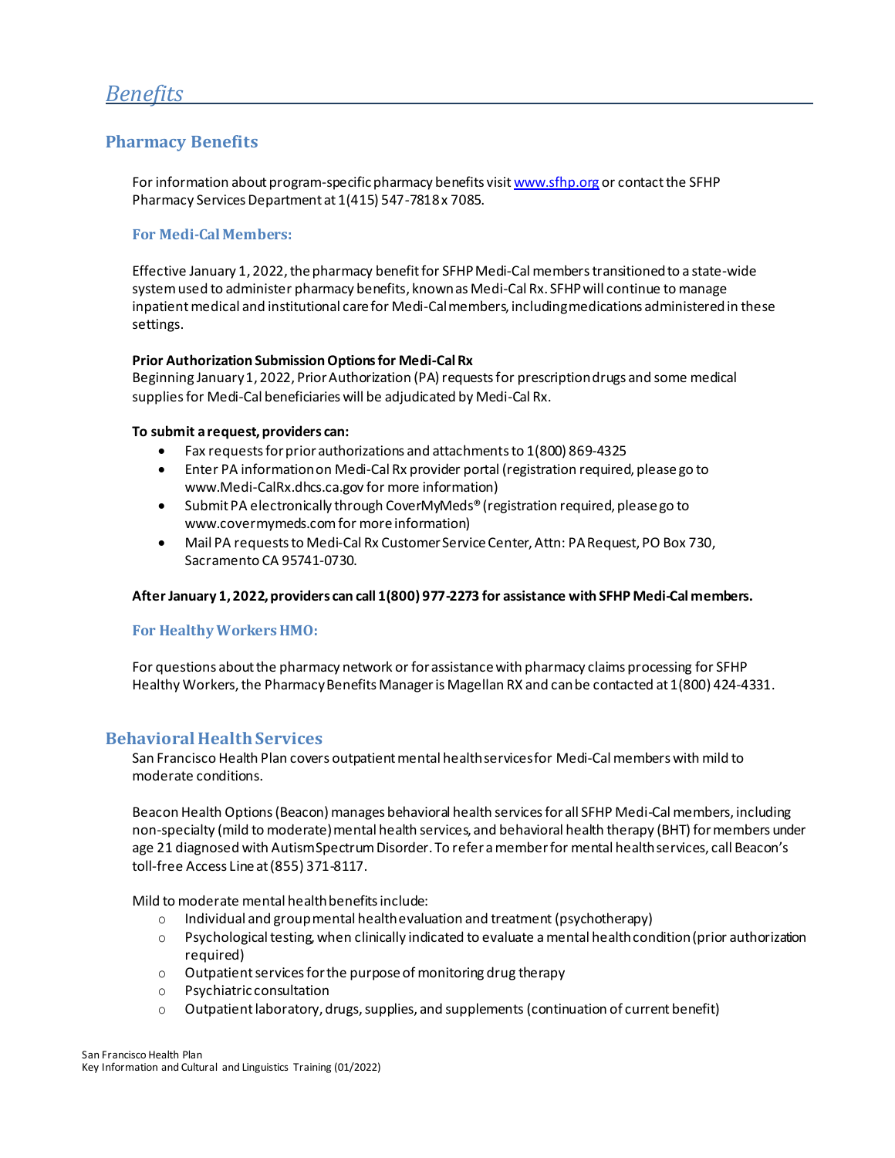### <span id="page-12-1"></span><span id="page-12-0"></span>**Pharmacy Benefits**

For information about program-specific pharmacy benefits visi[t www.sfhp.org](http://www.sfhp.org/) or contact the SFHP Pharmacy Services Department at 1(415) 547-7818 x 7085.

#### **For Medi-Cal Members:**

Effective January 1, 2022, the pharmacy benefit for SFHP Medi-Cal members transitioned to a state-wide system used to administer pharmacy benefits, known as Medi-Cal Rx. SFHP will continue to manage inpatient medical and institutional care for Medi-Cal members, including medications administeredin these settings.

#### **Prior Authorization Submission Options for Medi-Cal Rx**

Beginning January 1, 2022, Prior Authorization (PA) requests for prescription drugs and some medical supplies for Medi-Cal beneficiaries will be adjudicated by Medi-Cal Rx.

#### **To submit a request, providers can:**

- Fax requests for prior authorizations and attachments to 1(800) 869-4325
- Enter PA information o[n Medi-Cal Rx provider portal](https://protect-us.mimecast.com/s/somHC9rjXLHkgG0WFvhzOf?domain=sfhp.us7.list-manage.com) (registration required, please go to [www.Medi-CalRx.dhcs.ca.gov](https://protect-us.mimecast.com/s/0D-aC0RM3XiGD1xXFyuh61?domain=sfhp.us7.list-manage.com) for more information)
- Submit PA electronically through CoverMyMeds® (registration required, please go to [www.covermymeds.com](https://protect-us.mimecast.com/s/bZU6CgJyXQfAxM31TOIKQ1?domain=sfhp.us7.list-manage.com) for more information)
- Mail PA requests to Medi-Cal Rx Customer Service Center, Attn: PA Request, PO Box 730, Sacramento CA 95741-0730.

#### **After January 1, 2022, providers can call 1(800) 977-2273 for assistance with SFHP Medi-Cal members.**

#### **For Healthy Workers HMO:**

For questions about the pharmacy network or for assistance with pharmacy claims processing for SFHP Healthy Workers, the Pharmacy Benefits Manager is Magellan RX and can be contacted at 1(800) 424-4331.

#### <span id="page-12-2"></span>**Behavioral Health Services**

San Francisco Health Plan covers outpatient mental health services for Medi-Cal members with mild to moderate conditions.

Beacon Health Options (Beacon) manages behavioral health services for all SFHP Medi-Cal members, including non-specialty (mild to moderate) mental health services, and behavioral health therapy (BHT) for members under age 21 diagnosed with Autism Spectrum Disorder. To refer a member for mental health services, call Beacon's toll-free Access Line at (855) 371-8117.

Mild to moderate mental health benefits include:

- o Individual and group mental health evaluation and treatment (psychotherapy)
- o Psychological testing, when clinically indicated to evaluate a mental health condition (prior authorization required)
- o Outpatient services for the purpose of monitoring drug therapy
- o Psychiatric consultation
- o Outpatient laboratory, drugs, supplies, and supplements (continuation of current benefit)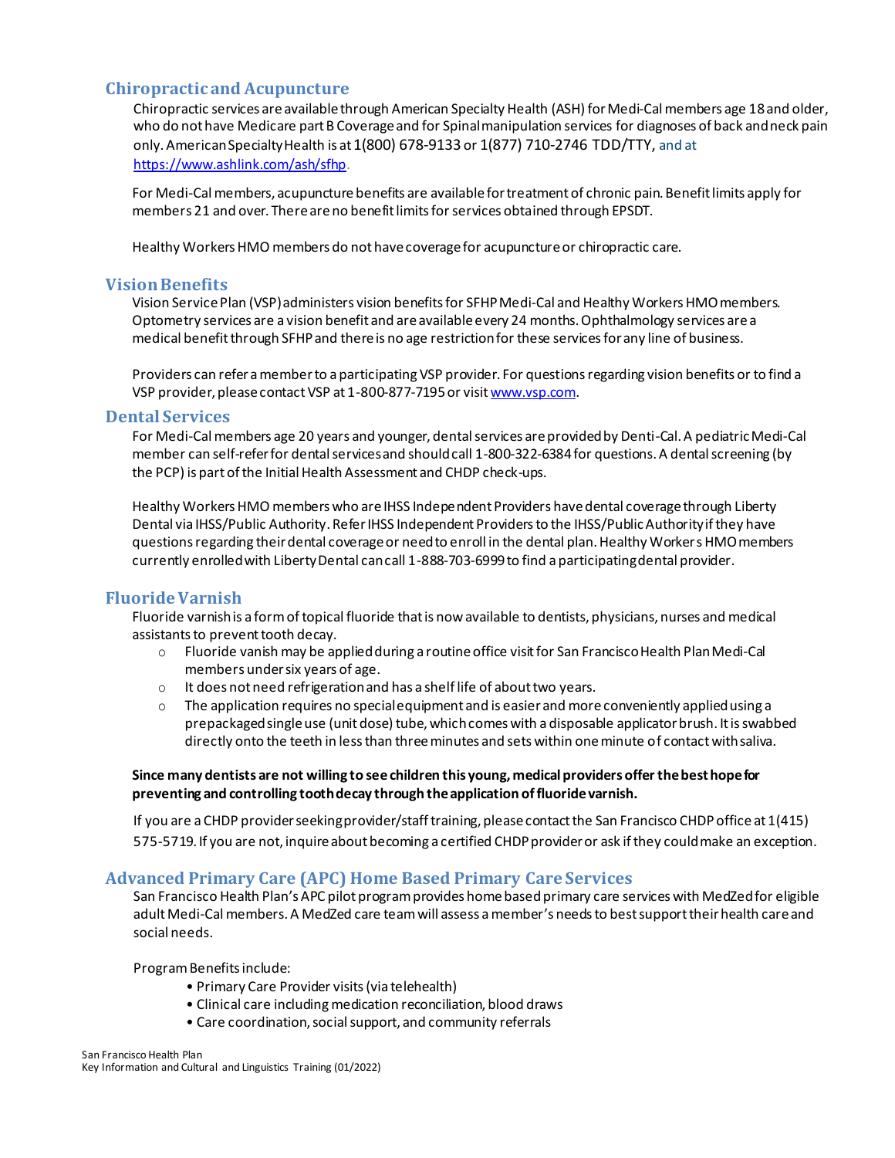### <span id="page-13-0"></span>**Chiropractic and Acupuncture**

Chiropractic services are available through American Specialty Health (ASH) for Medi-Cal members age 18 and older, who do not have Medicare part B Coverage and for Spinal manipulation services for diagnoses of back and neck pain only. American Specialty Health is at 1(800) 678-9133 or 1(877) 710-2746 TDD/TTY, and at <https://www.ashlink.com/ash/sfhp>.

For Medi-Cal members, acupuncture benefits are available for treatment of chronic pain. Benefit limits apply for members 21 and over. There are no benefit limits for services obtained through EPSDT.

Healthy Workers HMO members do not have coverage for acupuncture or chiropractic care.

#### <span id="page-13-1"></span>**Vision Benefits**

Vision Service Plan (VSP) administers vision benefits for SFHP Medi-Cal and Healthy Workers HMO members. Optometry services are a vision benefit and are available every 24 months. Ophthalmology services are a medical benefit through SFHP and there is no age restriction for these services for any line of business.

Providers can refer a member to a participating VSP provider. For questions regarding vision benefits or to find a VSP provider, please contact VSP at 1-800-877-7195 or visi[t www.vsp.com.](http://www.vsp.com/)

#### <span id="page-13-2"></span>**Dental Services**

For Medi-Cal members age 20 years and younger, dental services are provided by Denti-Cal. A pediatric Medi-Cal member can self-refer for dental services and should call 1-800-322-6384 for questions. A dental screening (by the PCP) is part of the Initial Health Assessment and CHDP check-ups.

Healthy Workers HMO members who are IHSS Independent Providers have dental coverage through Liberty Dental via IHSS/Public Authority. Refer IHSS Independent Providers to the IHSS/Public Authority if they have questions regarding their dental coverage or need to enroll in the dental plan. Healthy Workers HMO members currently enrolled with Liberty Dental can call 1-888-703-6999 to find a participating dental provider.

#### <span id="page-13-3"></span>**Fluoride Varnish**

Fluoride varnish is a form of topical fluoride that is now available to dentists, physicians, nurses and medical assistants to prevent tooth decay.

- o Fluoride vanish may be appliedduring a routineoffice visitfor San FranciscoHealth PlanMedi-Cal members under six years of age.
- o It does not need refrigeration and has a shelf life of about two years.
- $\circ$  The application requires no special equipment and is easier and more conveniently applied using a prepackaged single use (unit dose) tube, which comes with a disposable applicator brush. It is swabbed directly onto the teeth in less than three minutes and sets within one minute of contact withsaliva.

#### **Since many dentists are not willing to see children this young, medical providers offer the best hope for preventing and controlling tooth decay through the application of fluoride varnish.**

If you are a CHDP provider seeking provider/staff training, please contact the San Francisco CHDP office at 1(415) 575-5719. If you are not, inquire about becoming a certified CHDP provider or ask if they could make an exception.

#### <span id="page-13-4"></span>**Advanced Primary Care (APC) Home Based Primary Care Services**

San Francisco Health Plan's APC pilot program provides home based primary care services with MedZed for eligible adult Medi-Cal members. A MedZed care team will assess a member's needs to best support their health care and social needs.

Program Benefits include:

- Primary Care Provider visits (via telehealth)
- Clinical care including medication reconciliation, blood draws
- Care coordination, social support, and community referrals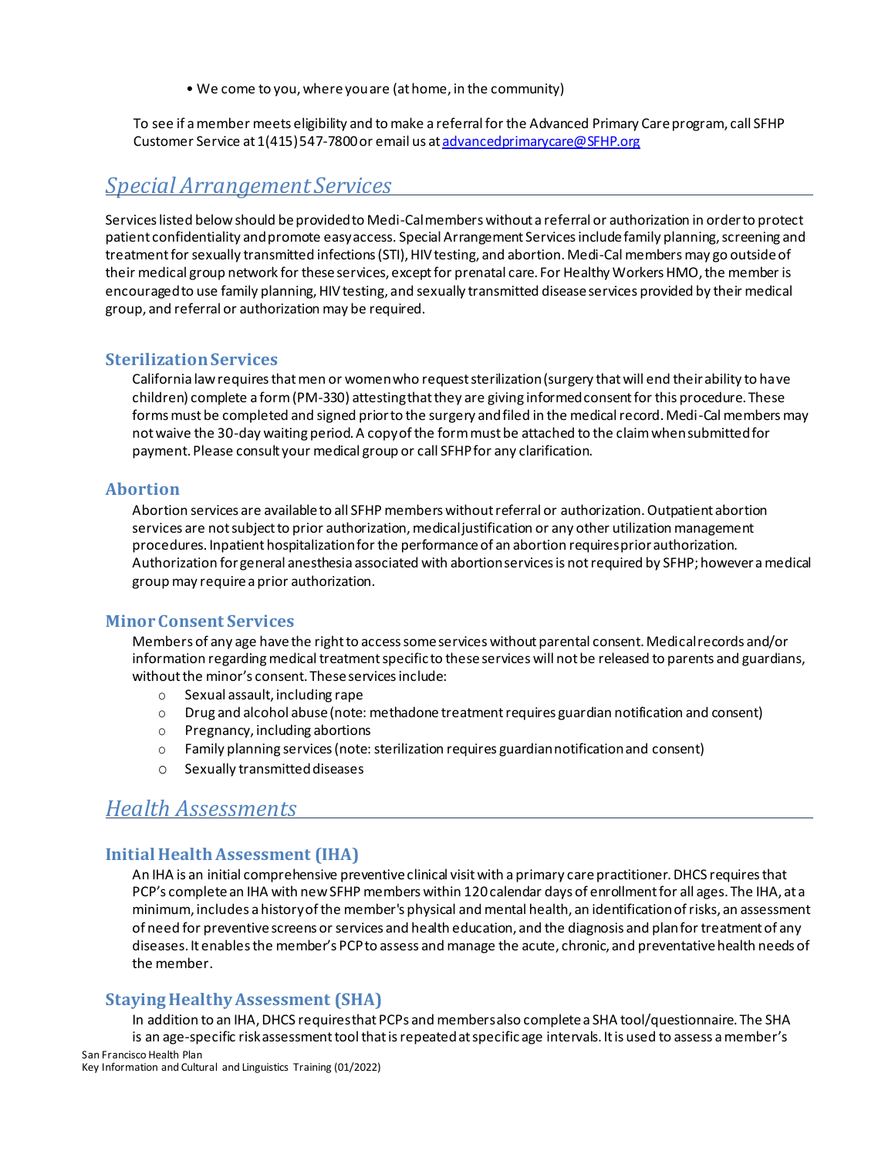• We come to you, where you are (at home, in the community)

To see if a member meets eligibility and to make a referral for the Advanced Primary Care program, call SFHP Customer Service at 1(415) 547-7800 or email us a[t advancedprimarycare@SFHP.org](mailto:advancedprimarycare@SFHP.org)

# <span id="page-14-0"></span>*Special Arrangement Services*

Services listed below should be provided to Medi-Cal members without a referral or authorization in order to protect patient confidentiality and promote easy access. Special Arrangement Services include family planning, screening and treatment for sexually transmitted infections (STI), HIV testing, and abortion. Medi-Cal members may go outside of their medical group network for these services, except for prenatal care. For Healthy Workers HMO, the member is encouraged to use family planning, HIV testing, and sexually transmitted disease services provided by their medical group, and referral or authorization may be required.

#### <span id="page-14-1"></span>**Sterilization Services**

California law requires that men or women who request sterilization (surgery that will end their ability to have children) complete a form (PM-330) attesting that they are giving informed consent for this procedure. These forms must be completed and signed prior to the surgery and filed in the medical record. Medi-Cal members may not waive the 30-day waiting period. A copy of the form must be attached to the claim when submitted for payment. Please consult your medical group or call SFHP for any clarification.

#### <span id="page-14-2"></span>**Abortion**

Abortion services are available to all SFHP members without referral or authorization. Outpatient abortion services are not subject to prior authorization, medical justification or any other utilization management procedures. Inpatient hospitalization for the performance of an abortion requires prior authorization. Authorization for general anesthesia associated with abortion services is not required by SFHP; however a medical group may require a prior authorization.

#### <span id="page-14-3"></span>**Minor Consent Services**

Members of any age have the right to access some services without parental consent. Medical records and/or information regarding medical treatment specific to these services will not be released to parents and guardians, without the minor's consent. These services include:

- o Sexual assault, including rape
- $\circ$  Drug and alcohol abuse (note: methadone treatment requires guardian notification and consent)
- o Pregnancy, including abortions
- o Family planning services (note: sterilization requires guardian notification and consent)
- o Sexually transmitteddiseases

# <span id="page-14-4"></span>*Health Assessments*

# <span id="page-14-5"></span>**Initial Health Assessment (IHA)**

An IHA is an initial comprehensive preventive clinical visit with a primary care practitioner. DHCS requires that PCP's complete an IHA with new SFHP members within 120 calendar days of enrollment for all ages. The IHA, at a minimum, includes a history of the member's physical and mental health, an identification of risks, an assessment of need for preventive screens or services and health education, and the diagnosis and plan for treatment of any diseases. It enables the member's PCP to assess and manage the acute, chronic, and preventative health needs of the member.

#### **Staying Healthy Assessment (SHA)**

<span id="page-14-6"></span>San Francisco Health Plan In addition to an IHA, DHCS requires that PCPs and members also complete a SHA tool/questionnaire. The SHA is an age-specific risk assessment tool that is repeated at specific age intervals. It is used to assess a member's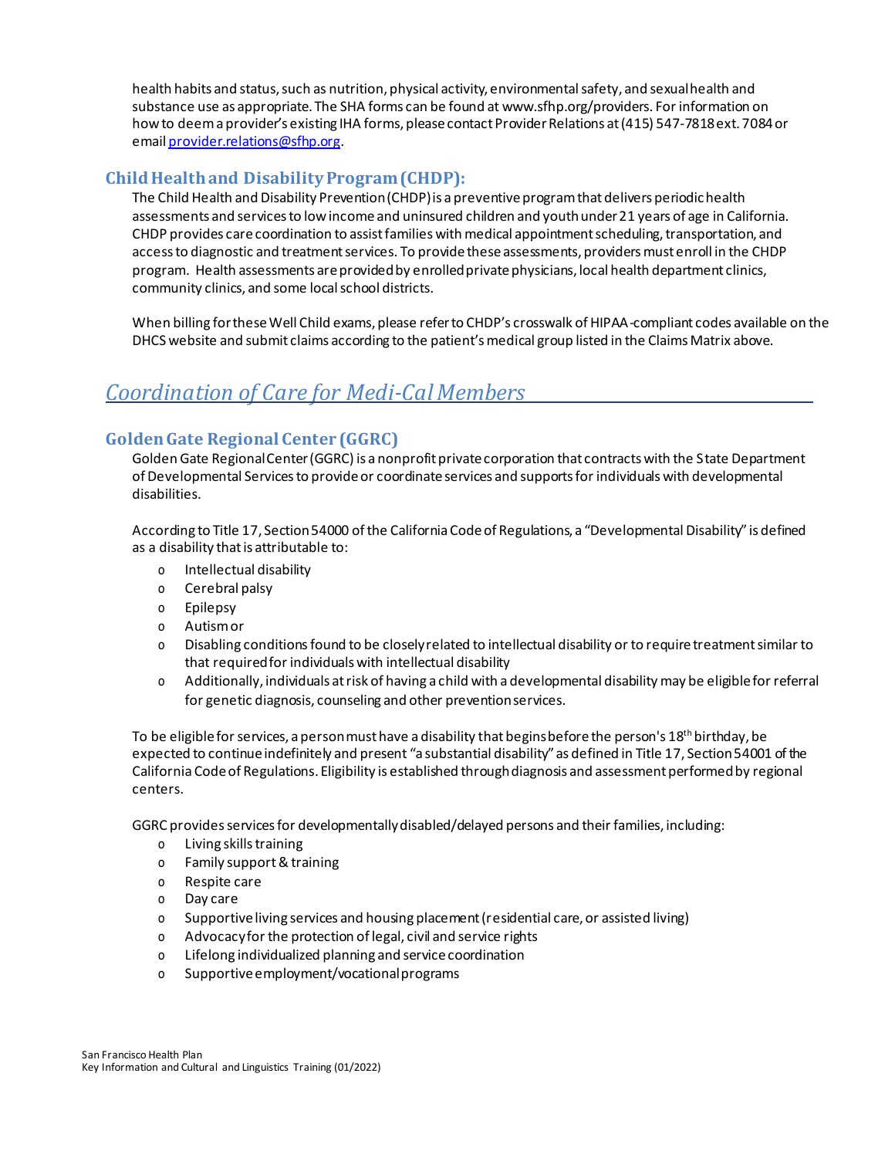health habits and status, such as nutrition, physical activity, environmental safety, and sexual health and substance use as appropriate. The SHA forms can be found a[t www.sfhp.org/providers.](http://www.sfhp.org/providers) For information on how to deem a provider's existing IHA forms, please contact Provider Relations at (415) 547-7818 ext. 7084 or emai[l provider.relations@sfhp.org.](mailto:provider.relations@sfhp.org)

# <span id="page-15-0"></span>**Child Health and Disability Program (CHDP):**

The Child Health and Disability Prevention (CHDP) is a preventive program that delivers periodic health assessments and services to low income and uninsured children and youth under 21 years of age in California. CHDP provides care coordination to assist families with medical appointment scheduling, transportation, and access to diagnostic and treatment services. To provide these assessments, providers must enroll in the CHDP program. Health assessments are provided by enrolled private physicians, local health department clinics, community clinics, and some local school districts.

When billing for these Well Child exams, please refer to CHDP's crosswalk of HIPAA-compliant codes available on the DHCS website and submit claims according to the patient's medical group listed in the Claims Matrix above.

# <span id="page-15-1"></span>*Coordination of Care for Medi-CalMembers*

# <span id="page-15-2"></span>**Golden Gate Regional Center (GGRC)**

Golden Gate Regional Center (GGRC) is a nonprofit private corporation that contracts with the State Department of Developmental Services to provide or coordinate services and supports for individuals with developmental disabilities.

According to Title 17, Section 54000 of the California Code of Regulations, a "Developmental Disability" is defined as a disability that is attributable to:

- o Intellectual disability
- o Cerebral palsy
- o Epilepsy
- o Autism or
- o Disabling conditionsfound to be closelyrelated to intellectual disability or to require treatmentsimilar to that required for individuals with intellectual disability
- o Additionally, individuals at risk of having a child with a developmental disability may be eligible for referral for genetic diagnosis, counseling and other prevention services.

To be eligible for services, a person must have a disability that begins before the person's 18<sup>th</sup> birthday, be expected to continue indefinitely and present "a substantial disability" as defined in Title 17, Section 54001 of the California Code of Regulations. Eligibility is established through diagnosis and assessment performed by regional centers.

GGRC provides services for developmentally disabled/delayed persons and their families, including:

- o Living skills training
- o Family support & training
- o Respite care
- o Day care
- o Supportive living services and housing placement (residential care, or assisted living)
- o Advocacy for the protection of legal, civil and service rights
- o Lifelong individualized planning and service coordination
- o Supportive employment/vocational programs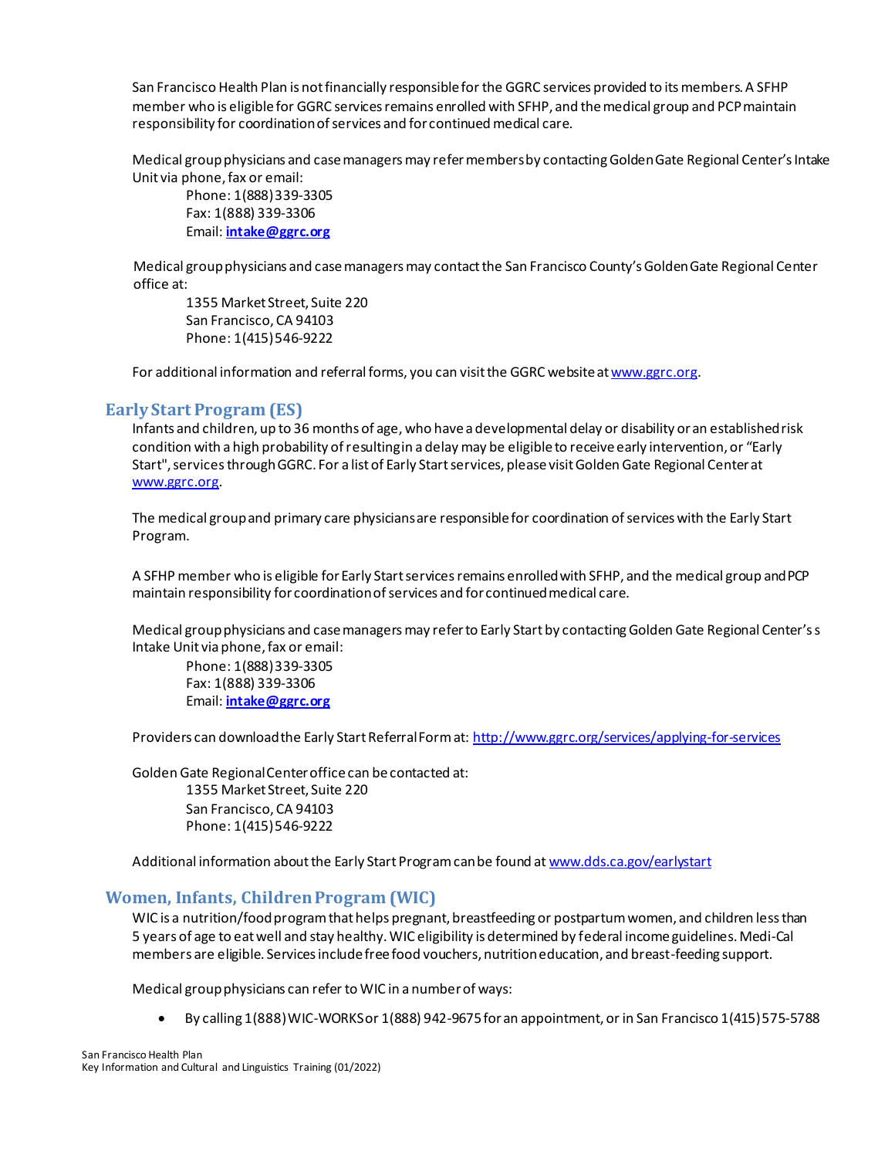San Francisco Health Plan is not financially responsible for the GGRC services provided to its members. A SFHP member who is eligible for GGRC services remains enrolled with SFHP, and the medical group and PCP maintain responsibility for coordination of services and for continued medical care.

Medical group physicians and case managers may refer members by contacting Golden Gate Regional Center's Intake Unit via phone, fax or email:

Phone: 1(888) 339-3305 Fax: 1(888) 339-3306 Email: **[intake@ggrc.org](mailto:intake@ggrc.org)**

Medical group physicians and case managers may contact the San Francisco County's Golden Gate Regional Center office at:

1355 Market Street, Suite 220 San Francisco, CA 94103 Phone: 1(415) 546-9222

For additional information and referral forms, you can visit the GGRC website a[t www.ggrc.org.](http://www.ggrc.org/)

#### <span id="page-16-0"></span>**Early Start Program (ES)**

Infants and children, up to 36 months of age, who have a developmental delay or disability or an established risk condition with a high probability of resulting in a delay may be eligible to receive early intervention, or "Early Start", services through GGRC. For a list of Early Start services, please visit Golden Gate Regional Center at [www.ggrc.org.](http://ggrc.org/serv_how-to.htm)

The medical group and primary care physicians are responsible for coordination of services with the Early Start Program.

A SFHP member who is eligible for Early Start services remains enrolled with SFHP, and the medical group and PCP maintain responsibility for coordination of services and for continued medical care.

Medical group physicians and case managers may refer to Early Start by contacting Golden Gate Regional Center's s Intake Unit via phone, fax or email:

Phone: 1(888) 339-3305 Fax: 1(888) 339-3306 Email: **[intake@ggrc.org](mailto:intake@ggrc.org)**

Providers can download the Early Start Referral Form at[: http://www.ggrc.org/services/applying-for-services](http://www.ggrc.org/services/applying-for-services)

Golden Gate Regional Center office can be contacted at: 1355 Market Street, Suite 220 San Francisco, CA 94103 Phone: 1(415) 546-9222

Additional information about the Early Start Program can be found a[t www.dds.ca.gov/earlystart](http://www.dds.ca.gov/earlystart)

#### <span id="page-16-1"></span>**Women, Infants, Children Program (WIC)**

WIC is a nutrition/food program that helps pregnant, breastfeeding or postpartum women, and children less than 5 years of age to eat well and stay healthy. WIC eligibility is determined by federal income guidelines. Medi-Cal members are eligible. Services include free food vouchers, nutrition education, and breast-feeding support.

Medical group physicians can refer to WIC in a number of ways:

• By calling 1(888) WIC-WORKS or 1(888) 942-9675 for an appointment, or in San Francisco 1(415) 575-5788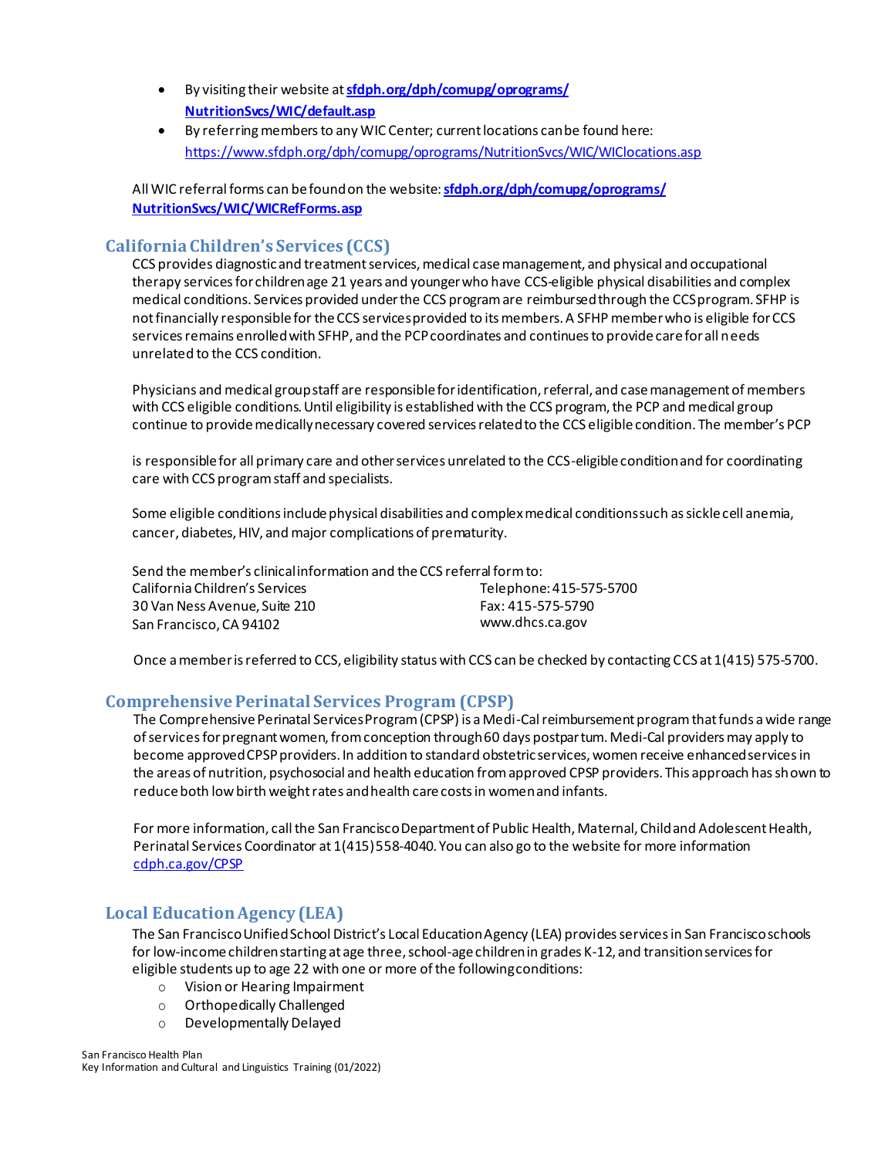- By visiting their website at **[sfdph.org/dph/comupg/oprograms/](https://www.sfdph.org/dph/comupg/oprograms/NutritionSvcs/WIC/default.asp) [NutritionSvcs/WIC/default.asp](https://www.sfdph.org/dph/comupg/oprograms/NutritionSvcs/WIC/default.asp)**
- By referring membersto any WIC Center; current locations can be found here: <https://www.sfdph.org/dph/comupg/oprograms/NutritionSvcs/WIC/WIClocations.asp>

All WIC referral forms can be found on the website: **[sfdph.org/dph/comupg/oprograms/](https://www.sfdph.org/dph/comupg/oprograms/NutritionSvcs/WIC/WICRefForms.asp) [NutritionSvcs/WIC/WICRefForms.asp](https://www.sfdph.org/dph/comupg/oprograms/NutritionSvcs/WIC/WICRefForms.asp)**

#### <span id="page-17-0"></span>**California Children's Services (CCS)**

CCS provides diagnostic and treatment services, medical case management, and physical and occupational therapy services for children age 21 years and younger who have CCS-eligible physical disabilities and complex medical conditions. Services provided under the CCS program are reimbursed through the CCS program. SFHP is not financially responsible for the CCS services provided to its members. A SFHP member who is eligible for CCS services remains enrolled with SFHP, and the PCP coordinates and continues to provide care for all needs unrelated to the CCS condition.

Physicians and medical group staff are responsible for identification, referral, and case management of members with CCS eligible conditions. Until eligibility is established with the CCS program, the PCP and medical group continue to provide medically necessary covered services related to the CCS eligible condition. The member's PCP

is responsible for all primary care and other services unrelated to the CCS-eligible condition and for coordinating care with CCS program staff and specialists.

Some eligible conditions include physical disabilities and complex medical conditions such as sickle cell anemia, cancer, diabetes, HIV, and major complications of prematurity.

| Send the member's clinical information and the CCS referral form to: |                         |  |
|----------------------------------------------------------------------|-------------------------|--|
| California Children's Services                                       | Telephone: 415-575-5700 |  |
| 30 Van Ness Avenue. Suite 210                                        | Fax: 415-575-5790       |  |
| San Francisco, CA 94102                                              | www.dhcs.ca.gov         |  |

Once a member is referred to CCS, eligibility status with CCS can be checked by contacting CCS at 1(415) 575-5700.

#### <span id="page-17-1"></span>**Comprehensive Perinatal Services Program (CPSP)**

The Comprehensive Perinatal Services Program (CPSP) is a Medi-Cal reimbursement program that funds a wide range of services for pregnant women, from conception through 60 days postpartum. Medi-Cal providers may apply to become approved CPSP providers. In addition to standard obstetric services, women receive enhanced services in the areas of nutrition, psychosocial and health education from approved CPSP providers. This approach has shown to reduce both low birth weight rates and health care costs in women and infants.

For more information, call the San Francisco Department of Public Health, Maternal, Child and Adolescent Health, Perinatal Services Coordinator at 1(415) 558-4040. You can also go to the website for more information [cdph.ca.gov/CPSP](https://www.cdph.ca.gov/Programs/CFH/DMCAH/CPSP/Pages/default.aspx)

#### <span id="page-17-2"></span>**Local Education Agency (LEA)**

The San Francisco Unified School District's Local Education Agency (LEA) provides services in San Francisco schools for low-income children starting at age three, school-age children in grades K-12, and transition services for eligible students up to age 22 with one or more of the following conditions:

- o Vision or Hearing Impairment
- o Orthopedically Challenged
- o Developmentally Delayed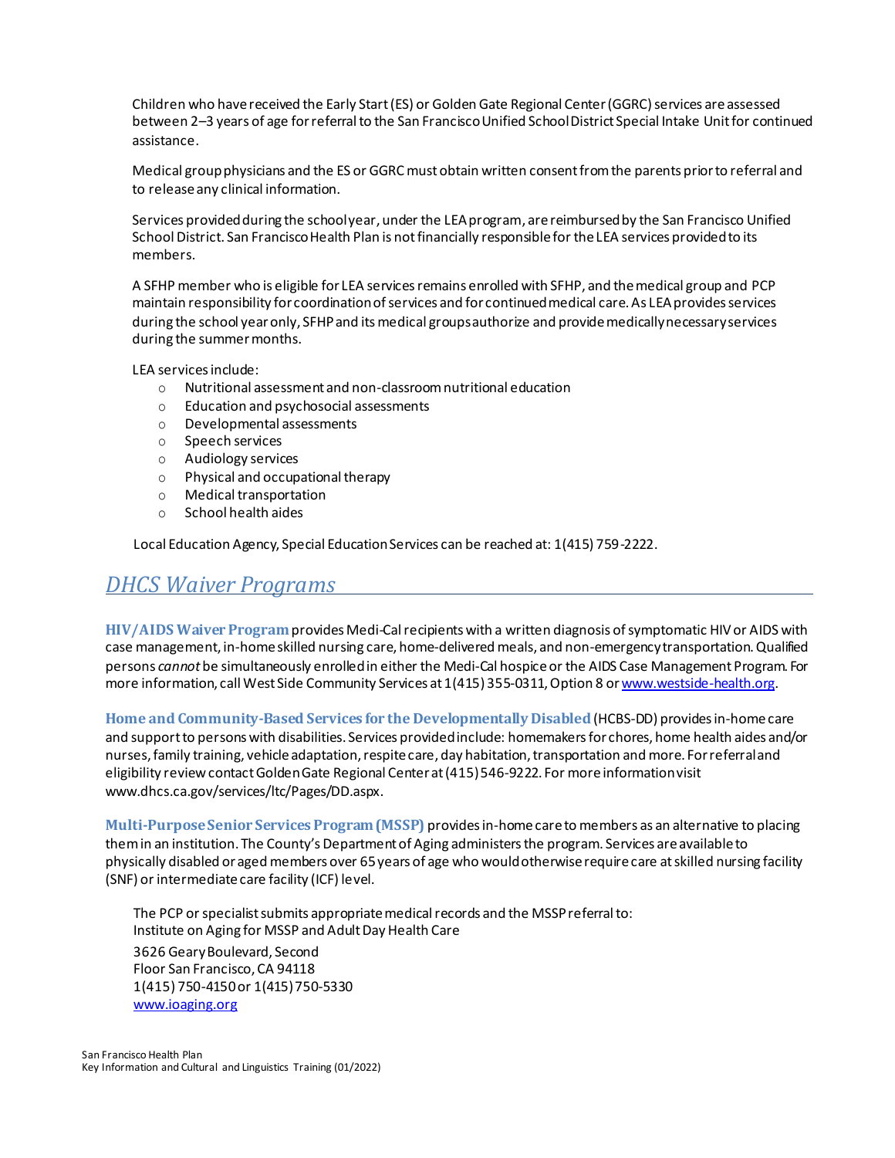Children who have received the Early Start (ES) or Golden Gate Regional Center (GGRC) services are assessed between 2–3 years of age for referral to the San Francisco Unified School District Special Intake Unit for continued assistance.

Medical group physicians and the ES or GGRC must obtain written consent from the parents prior to referral and to release any clinical information.

Services provided during the school year, under the LEA program, are reimbursed by the San Francisco Unified School District. San Francisco Health Plan is not financially responsible for the LEA services provided to its members.

A SFHP member who is eligible for LEA services remains enrolled with SFHP, and the medical group and PCP maintain responsibility for coordination of services and for continued medical care. As LEA provides services during the school year only, SFHP and its medical groups authorize and provide medically necessary services during the summer months.

LEA services include:

- o Nutritional assessment and non-classroom nutritional education
- o Education and psychosocial assessments
- o Developmental assessments
- o Speech services
- o Audiology services
- o Physical and occupational therapy
- o Medical transportation
- o School health aides

Local Education Agency, Special Education Services can be reached at: 1(415) 759-2222.

# <span id="page-18-0"></span>*DHCS Waiver Programs*

**HIV/AIDS Waiver Program** provides Medi-Cal recipients with a written diagnosis of symptomatic HIV or AIDS with case management, in-home skilled nursing care, home-delivered meals, and non-emergency transportation. Qualified persons *cannot* be simultaneously enrolledin either the Medi-Cal hospiceor the AIDS Case Management Program. For more information, call West Side Community Services at 1(415) 355-0311, Option 8 or www.westside-health.org.

**Home and Community-Based Services for the Developmentally Disabled** (HCBS-DD) providesin-home care and support to persons with disabilities. Services provided include: homemakers for chores, home health aides and/or nurses, family training, vehicle adaptation, respite care, day habitation, transportation and more. For referral and eligibility review contact Golden Gate Regional Center at (415) 546-9222. For more information visit [www.dhcs.ca.gov/services/ltc/Pages/DD.aspx.](http://www.dhcs.ca.gov/services/ltc/Pages/DD.aspx)

**Multi-Purpose Senior Services Program (MSSP)** provides in-home care to members as an alternative to placing them in an institution. The County's Department of Aging administers the program. Services are available to physically disabled or aged members over 65 years of age who would otherwise require care at skilled nursing facility (SNF) or intermediate care facility (ICF) level.

The PCP or specialist submits appropriate medical records and the MSSP referral to: Institute on Aging for MSSP and Adult Day Health Care 3626 Geary Boulevard, Second Floor San Francisco, CA 94118 1(415) 750-4150 or 1(415) 750-5330 [www.ioaging.org](http://www.ioaging.org/)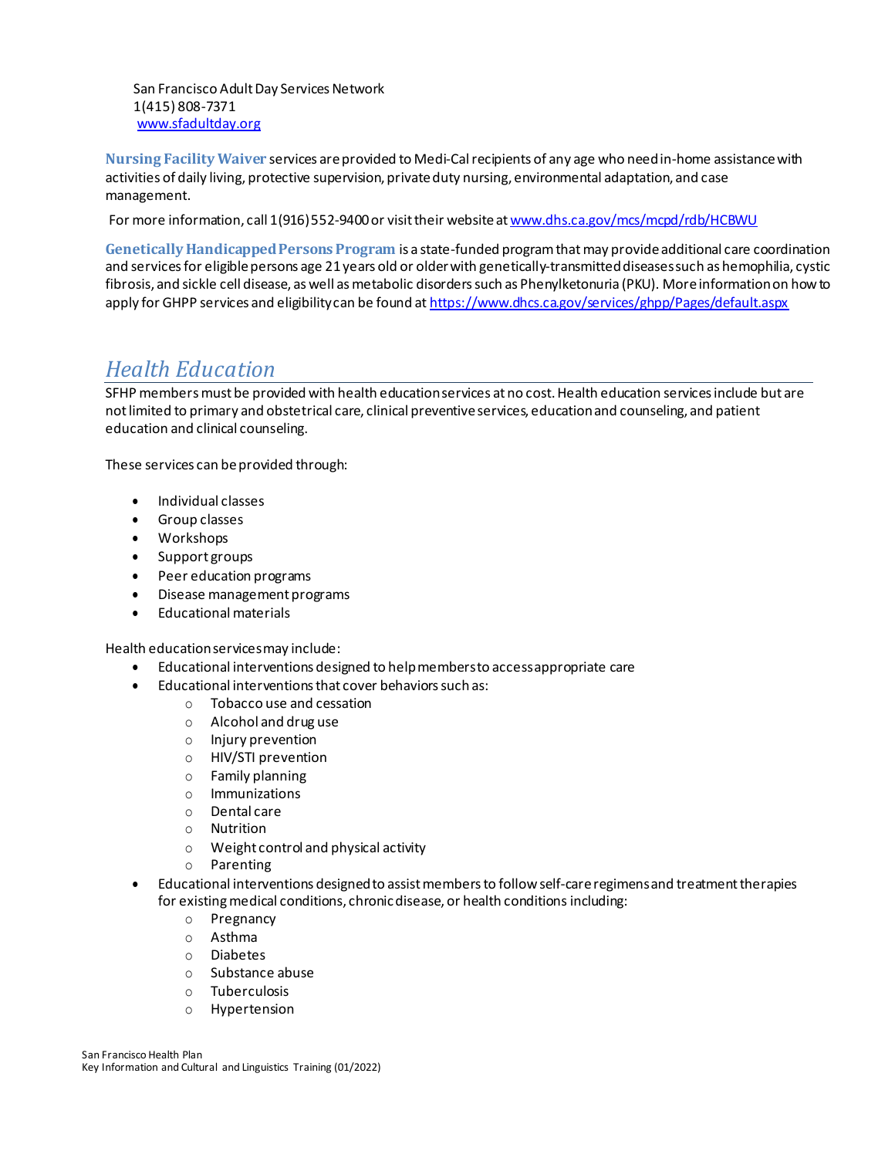San Francisco Adult Day Services Network 1(415) 808-7371 [www.sfadultday.org](http://www.sfadultday.org/)

**Nursing Facility Waiver** services are provided to Medi-Cal recipients of any age who need in-home assistance with activities of daily living, protective supervision, private duty nursing, environmental adaptation, and case management.

For more information, call 1(916) 552-9400 or visit their website a[t www.dhs.ca.gov/mcs/mcpd/rdb/HCBWU](http://www.dhs.ca.gov/mcs/mcpd/rdb/HCBWU)

**Genetically Handicapped Persons Program** is a state-funded program that may provide additional care coordination and servicesfor eligible persons age 21 years old or older with genetically-transmitted diseases such as hemophilia, cystic fibrosis, and sickle cell disease, as well as metabolic disorders such as Phenylketonuria (PKU). More information on how to apply for GHPP services and eligibility can be found a[t https://www.dhcs.ca.gov/services/ghpp/Pages/default.aspx](https://www.dhcs.ca.gov/services/ghpp/Pages/default.aspx)

# <span id="page-19-0"></span>*Health Education*

SFHP members must be provided with health education services at no cost. Health education services include but are not limited to primary and obstetrical care, clinical preventive services, education and counseling, and patient education and clinical counseling.

These services can be provided through:

- Individual classes
- Group classes
- Workshops
- Support groups
- Peer education programs
- Disease management programs
- Educational materials

Health education services may include:

- Educational interventions designed to help members to access appropriate care
- Educational interventions that cover behaviors such as:
	- o Tobacco use and cessation
	- o Alcohol and drug use
	- o Injury prevention
	- o HIV/STI prevention
	- o Family planning
	- o Immunizations
	- o Dental care
	- o Nutrition
	- o Weight control and physical activity
	- o Parenting
- Educational interventions designed to assist members to follow self-care regimens and treatment therapies for existing medical conditions, chronic disease, or health conditions including:
	- o Pregnancy
	- o Asthma
	- o Diabetes
	- o Substance abuse
	- o Tuberculosis
	- o Hypertension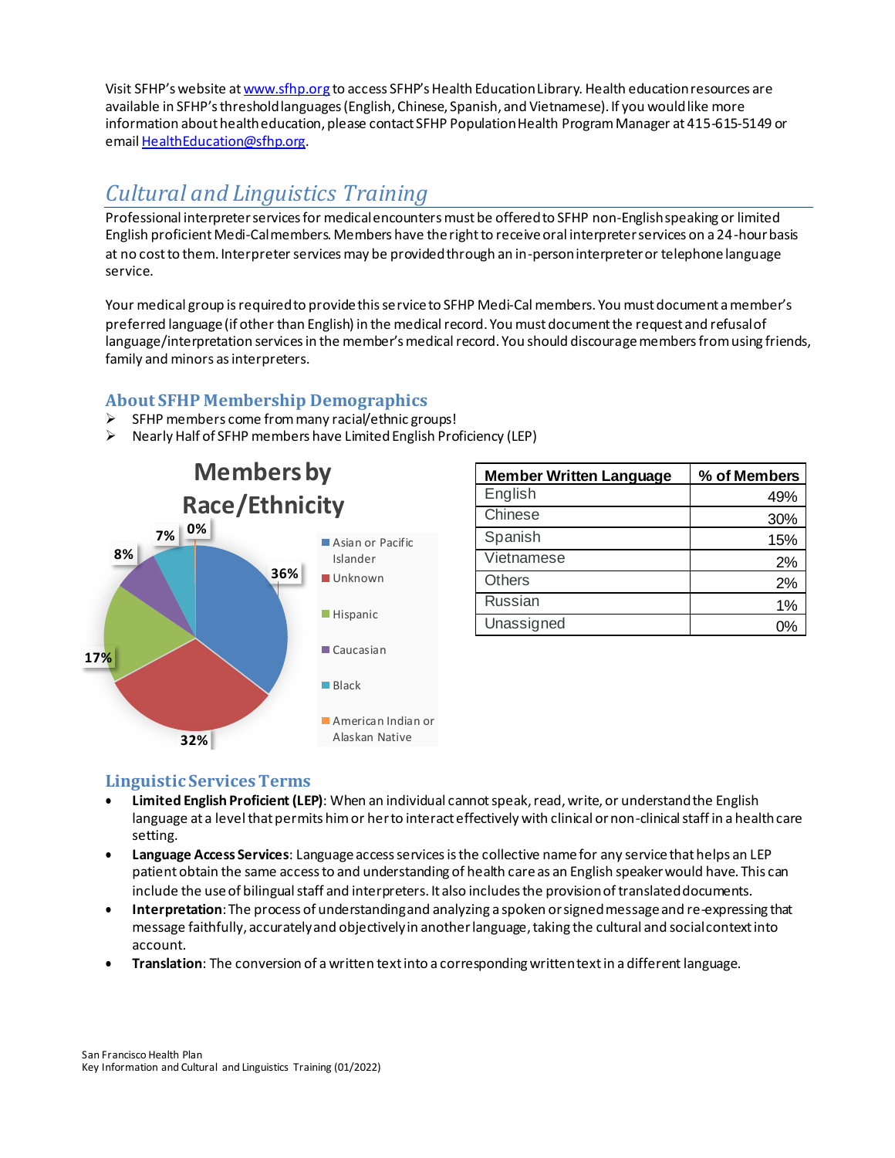Visit SFHP's website at [www.sfhp.org](http://www.sfhp.org/) to access SFHP's Health Education Library. Health education resources are available in SFHP's threshold languages (English, Chinese, Spanish, and Vietnamese). If you would like more information about health education, please contact SFHP Population Health Program Manager at 415-615-5149 or emai[l HealthEducation@sfhp.org.](mailto:HealthEducation@sfhp.org)

# <span id="page-20-0"></span>*Cultural and Linguistics Training*

Professional interpreter services for medical encounters must be offered to SFHP non-English speaking or limited English proficient Medi-Cal members. Members have the right to receive oral interpreter services on a 24-hour basis at no cost to them. Interpreter services may be provided through an in-person interpreter or telephone language service.

Your medical group is required to provide this service to SFHP Medi-Cal members. You must document a member's preferred language (if other than English) in the medical record. You must document the request and refusal of language/interpretation services in the member's medical record. You should discourage members from using friends, family and minors as interpreters.

# <span id="page-20-1"></span>**About SFHP Membership Demographics**

- ➢ SFHP members come from many racial/ethnic groups!
- ➢ Nearly Half of SFHP members have Limited English Proficiency (LEP)



| <b>Member Written Language</b> | % of Members |
|--------------------------------|--------------|
| English                        | 49%          |
| Chinese                        | 30%          |
| Spanish                        | 15%          |
| Vietnamese                     | 2%           |
| <b>Others</b>                  | 2%           |
| <b>Russian</b>                 | 1%           |
| Unassigned                     | በዓ           |

# <span id="page-20-2"></span>**Linguistic Services Terms**

- **Limited English Proficient (LEP)**: When an individual cannot speak, read, write, or understand the English language at a level that permits him or her to interact effectively with clinical or non-clinical staff in a health care setting.
- **Language Access Services**: Language access services is the collective name for any service that helps an LEP patient obtain the same accessto and understanding of health careas an English speaker would have. This can include the use of bilingual staff and interpreters. It also includes the provision of translateddocuments.
- **Interpretation**: The process of understanding and analyzing a spoken or signed message and re-expressing that message faithfully, accurately and objectively in another language, taking the cultural and social context into account.
- **Translation**: The conversion of a written text into a corresponding written text in a different language.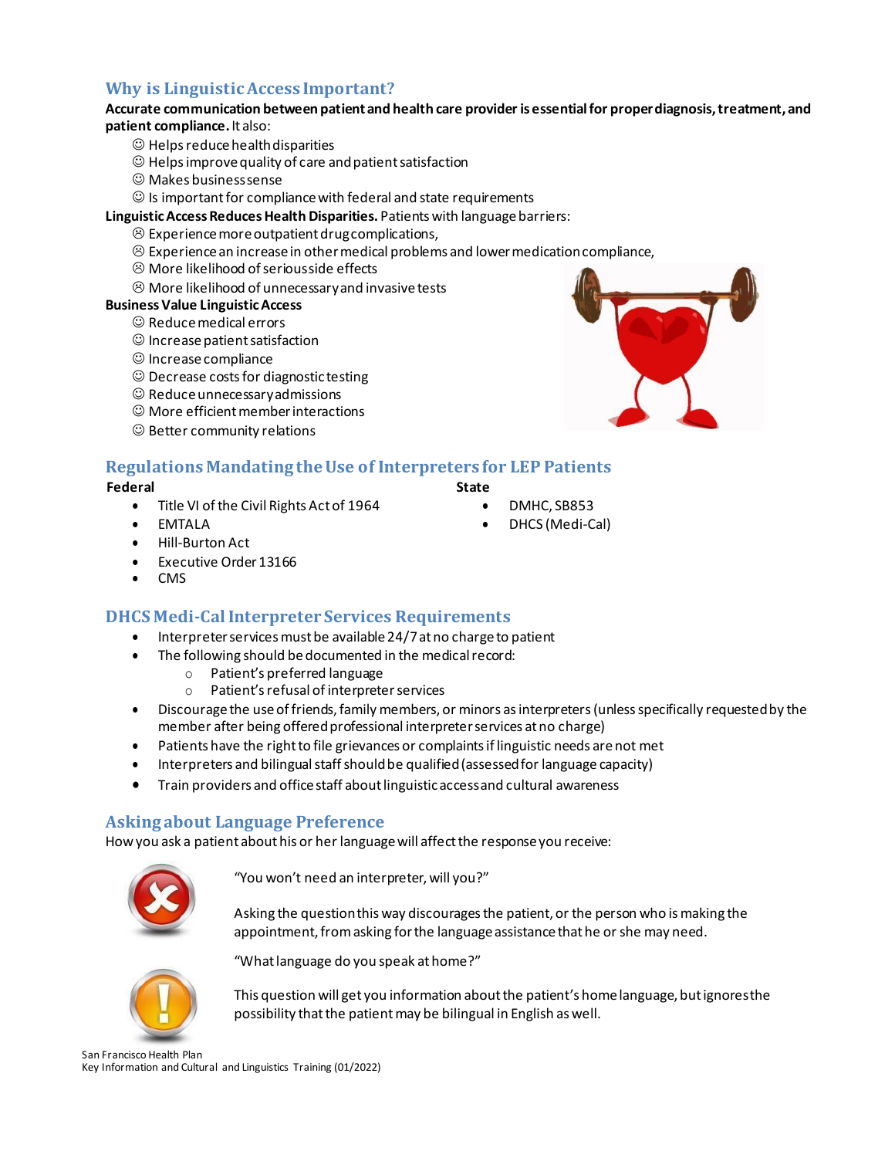# <span id="page-21-0"></span>**Why is Linguistic Access Important?**

#### **Accurate communication between patient and health care provider is essential for proper diagnosis, treatment, and patient compliance.** It also:

- ☺ Helps reduce health disparities
- ☺ Helps improve quality of care and patient satisfaction
- ☺ Makes business sense
- $\odot$  Is important for compliance with federal and state requirements
- **Linguistic Access Reduces Health Disparities.** Patients with language barriers:
	- $\odot$  Experience more outpatient drug complications,
	- $\otimes$  Experience an increase in other medical problems and lower medication compliance,
	- More likelihood of serious side effects
	- $\odot$  More likelihood of unnecessary and invasive tests

#### **Business Value LinguisticAccess**

- ☺ Reduce medical errors
- ☺ Increase patient satisfaction
- ☺ Increase compliance
- ☺ Decrease costs for diagnostic testing
- ☺ Reduce unnecessary admissions
- ☺ More efficient member interactions
- ☺ Better community relations



# <span id="page-21-1"></span>**Regulations Mandating the Use of Interpreters for LEP Patients**

#### **Federal**

- Title VI of the Civil Rights Act of 1964
- DMHC, SB853

**State**

• DHCS (Medi-Cal)

• Hill-Burton Act

• EMTALA

- Executive Order 13166
- CMS

# <span id="page-21-2"></span>**DHCS Medi-Cal Interpreter Services Requirements**

- Interpreter services must be available 24/7 at no charge to patient
- The following should be documented in the medical record:
	- o Patient's preferred language
	- o Patient's refusal of interpreterservices
- Discourage the useof friends,family members, or minors asinterpreters(unlessspecifically requestedby the member after being offered professional interpreter services at no charge)
- Patients have the right to file grievances or complaints if linguistic needs are not met
- Interpreters and bilingual staff should be qualified (assessed for language capacity)
- Train providers and office staff about linguistic access and cultural awareness

#### <span id="page-21-3"></span>**Asking about Language Preference**

How you ask a patient about his or her language will affect the response you receive:



"You won't need an interpreter, will you?"

Asking the question this way discourages the patient, or the person who is making the appointment, from asking for the language assistance that he or she may need.



"What language do you speak at home?"

This question will get you information about the patient's home language, but ignores the possibility that the patient may be bilingual in English as well.

San Francisco Health Plan Key Information and Cultural and Linguistics Training (01/2022)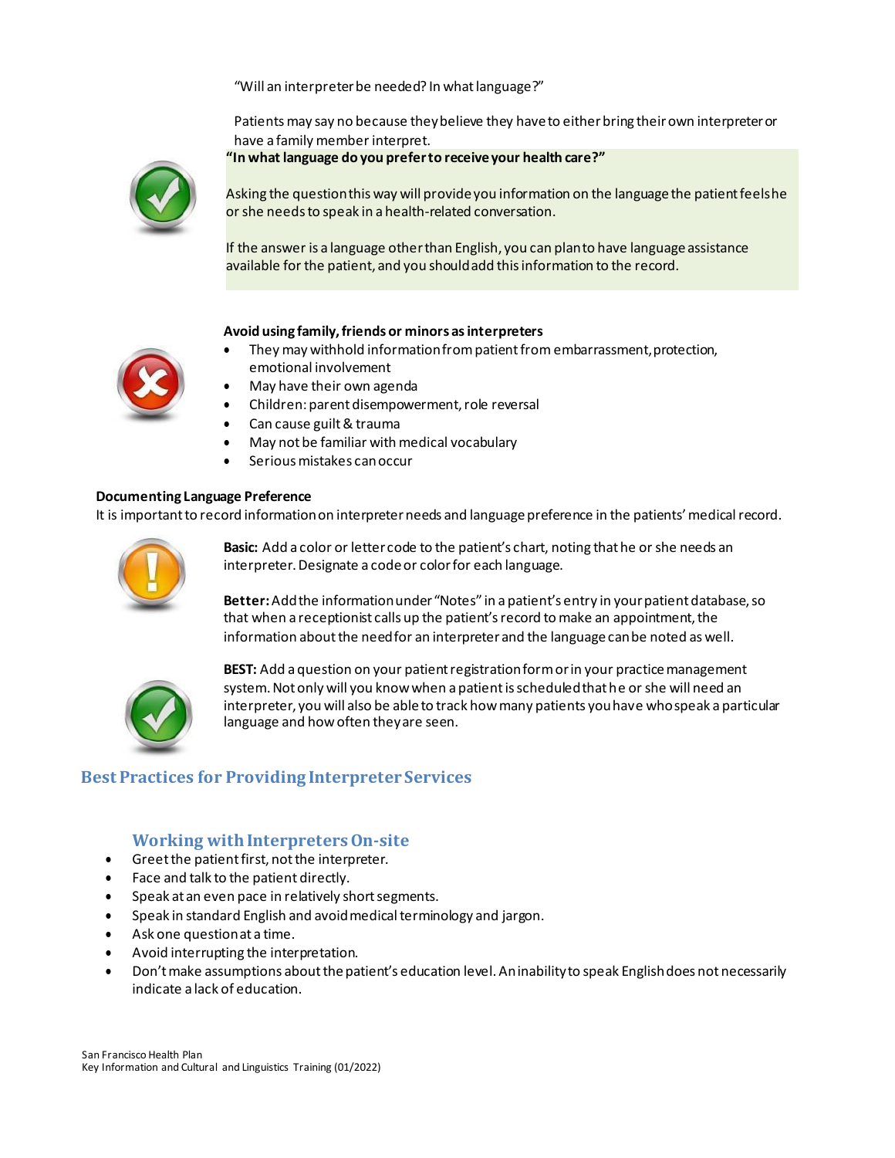"Will an interpreter be needed? In what language?"

Patients may say no because they believe they have to either bring their own interpreter or have a family member interpret.

**"In what language do you prefer to receive your health care?"**



Asking the question this way will provide you information on the language the patient feels he or she needs to speak in a health-related conversation.

If the answer is a language other than English, you can plan to have language assistance available for the patient, and you should add this information to the record.

#### **Avoid using family, friends or minors as interpreters**

- 
- They may withhold information from patient from embarrassment, protection, emotional involvement
- May have their own agenda
- Children: parent disempowerment, role reversal
- Can cause guilt & trauma
- May not be familiar with medical vocabulary
- Serious mistakes canoccur

#### **Documenting Language Preference**

It is important to record information on interpreter needs and language preference in the patients' medical record.



**Basic:** Add a color or letter code to the patient's chart, noting that he or she needs an interpreter. Designate a code or color for each language.

**Better:** Add the information under "Notes" in a patient's entry in your patient database, so that when a receptionist calls up the patient's record to make an appointment, the information about the need for an interpreter and the language can be noted as well.



**BEST:** Add a question on your patient registration form or in your practice management system. Not only will you know when a patient is scheduled that he or she will need an interpreter, you will also be able to track how many patients you have who speak a particular language and how often they are seen.

# <span id="page-22-0"></span>**Best Practices for Providing Interpreter Services**

#### **Working with Interpreters On-site**

- <span id="page-22-1"></span>• Greet the patient first, not the interpreter.
- Face and talk to the patient directly.
- Speak at an even pace in relatively short segments.
- Speak in standard English and avoid medical terminology and jargon.
- Ask one question at a time.
- Avoid interrupting the interpretation.
- Don'tmake assumptions aboutthepatient's education level.Aninabilityto speak Englishdoes not necessarily indicate a lack of education.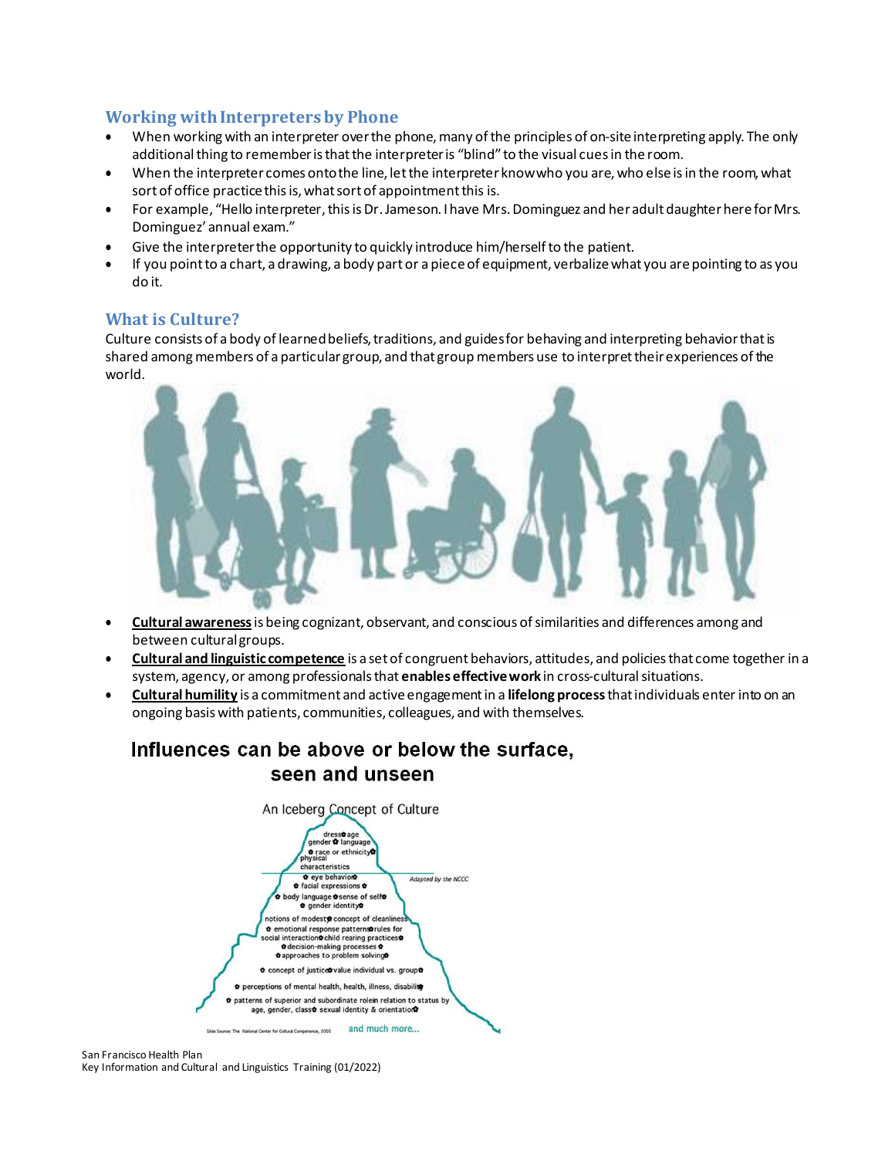### <span id="page-23-0"></span>**Working with Interpreters by Phone**

- When working with an interpreter over the phone, many of the principles of on-site interpreting apply. The only additional thing to remember is that the interpreter is "blind" to the visual cues in the room.
- When the interpreter comes onto the line, let the interpreter know who you are, who else is in the room, what sort of office practice this is, what sort of appointment this is.
- For example, "Hello interpreter, this is Dr. Jameson. I have Mrs. Dominguez and her adult daughter here for Mrs. Dominguez' annual exam."
- Give the interpreter the opportunity to quickly introduce him/herself to the patient.
- If you point to a chart, a drawing, a body part or a piece of equipment, verbalize what you are pointing to as you do it.

#### <span id="page-23-1"></span>**What is Culture?**

Culture consists of a body of learned beliefs, traditions, and guides for behaving and interpreting behavior that is shared among members of a particular group, and that group members use to interpret their experiences of the world.



- **Cultural awareness**is being cognizant, observant, and conscious ofsimilarities and differences among and between culturalgroups.
- **Cultural and linguistic competence** is a setof congruent behaviors, attitudes, and policiesthat come together in a system, agency, or among professionals that **enables effective work** in cross-culturalsituations.
- **Cultural humility** is a commitment and active engagement in a **lifelong process** that individuals enter into on an ongoing basis with patients, communities, colleagues, and with themselves.

# Influences can be above or below the surface. seen and unseen

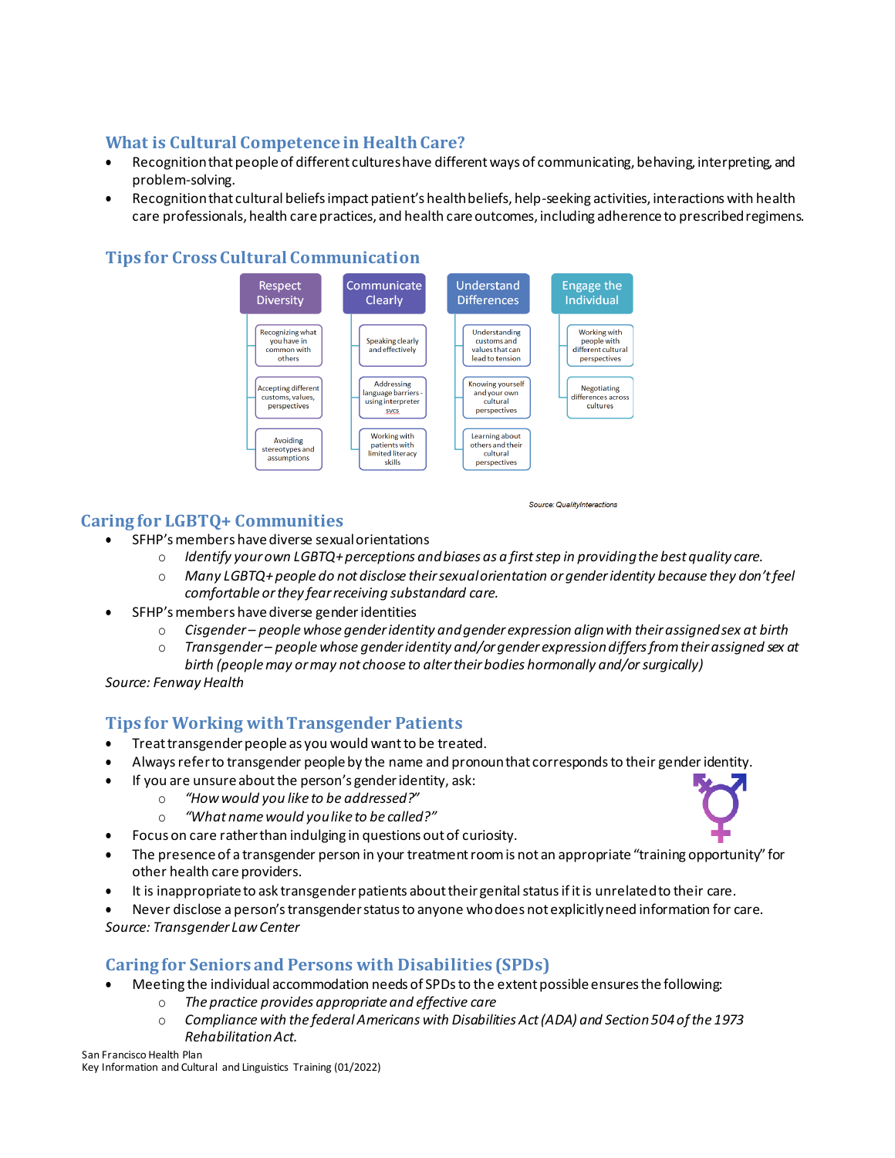# <span id="page-24-0"></span>**What is Cultural Competence in Health Care?**

- Recognition that people of different cultures have different ways of communicating, behaving, interpreting, and problem-solving.
- Recognition that cultural beliefs impact patient's health beliefs, help-seeking activities, interactions with health care professionals, health care practices, and health care outcomes, including adherence to prescribedregimens.

# <span id="page-24-1"></span>**Tips for Cross Cultural Communication**



# **Caring for LGBTQ+ Communities**

Source: QualityInteractions

- SFHP's members have diverse sexual orientations
	- o *Identify your own LGBTQ+ perceptions and biases as a first step in providing the best quality care.*
	- o *Many LGBTQ+people do not disclose theirsexualorientation orgenderidentity because they don'tfeel comfortable or they fear receiving substandard care.*
- SFHP's members have diverse genderidentities
	- o *Cisgender – people whose gender identity and gender expression align with their assigned sex at birth*
	- o *Transgender – people whose gender identity and/or gender expression differs from their assigned sex at birth (people may or may not choose to alter their bodies hormonally and/orsurgically)*

*Source: Fenway Health*

# <span id="page-24-2"></span>**Tips for Working with Transgender Patients**

- Treat transgender people as you would want to be treated.
- Always refer to transgender people by the name and pronoun that corresponds to their genderidentity.
- If you are unsure about the person's gender identity, ask:
	- o *"How would you like to be addressed?"*
	- o *"What name would you like to be called?"*
- Focus on care rather than indulging in questions out of curiosity.
- The presence of a transgender person in your treatment room is not an appropriate "training opportunity" for other health care providers.
- It is inappropriate to ask transgender patients about their genital status if it is unrelated to their care.
- Never disclose a person's transgender status to anyone who does not explicitly need information for care. *Source: Transgender Law Center*

#### <span id="page-24-3"></span>**Caring for Seniors and Persons with Disabilities (SPDs)**

- Meeting the individual accommodation needs of SPDs to the extent possible ensures the following:
	- o *The practice provides appropriate and effective care*
		- o *Compliance with the federal Americans with Disabilities Act(ADA) and Section504ofthe 1973 RehabilitationAct.*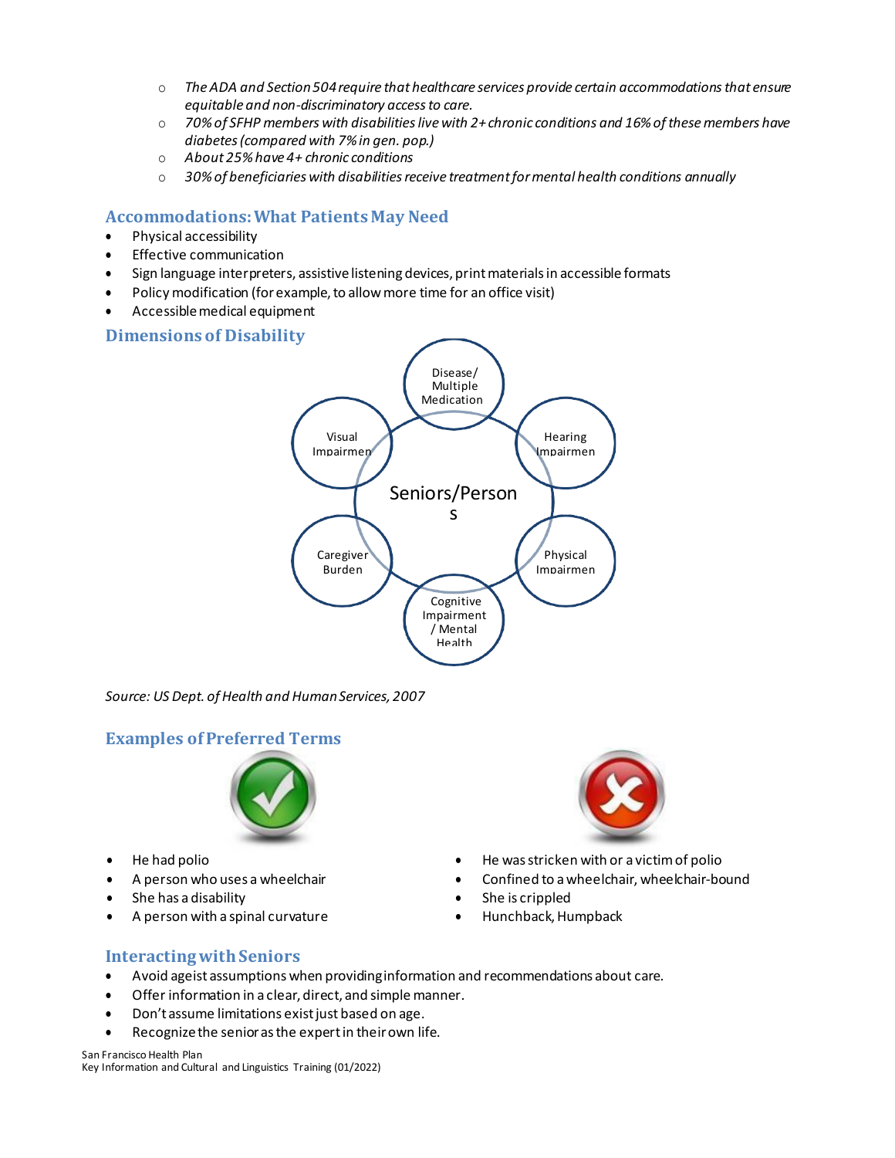- o *TheADA and Section504require that healthcare services provide certain accommodationsthat ensure equitable and non-discriminatory access to care.*
- o *70%of SFHP members with disabilitieslivewith 2+chronic conditions and 16%ofthesemembers have diabetes (compared with 7% in gen. pop.)*
- o *About 25% have 4+ chronic conditions*
- o *30% of beneficiaries with disabilities receive treatment for mental health conditions annually*

# <span id="page-25-0"></span>**Accommodations: What Patients May Need**

- Physical accessibility
- Effective communication
- Sign language interpreters, assistive listening devices, print materials in accessible formats
- Policy modification (for example, to allow more time for an office visit)
- Accessible medical equipment

### <span id="page-25-1"></span>**Dimensions of Disability** Disease/ Multiple Medication s Visual Impairmen Hearing Impairmen Seniors/Person s Caregiver Burden Physical Impairmen Cognitive Impairment / Mental Health

*Source: US Dept. of Health and Human Services, 2007*

# <span id="page-25-2"></span>**Examples of Preferred Terms**



- 
- 
- She has a disability **•** She is crippled
- A person with a spinal curvature Hunchback, Humpback



- He had polio He was stricken with or a victim of polio
- A person who uses a wheelchair Confined to a wheelchair, wheelchair-bound
	-
	-

# <span id="page-25-3"></span>**Interacting with Seniors**

- Avoid ageist assumptions when providing information and recommendations about care.
- Offer information in a clear, direct, and simple manner.
- Don't assume limitations exist just based on age.
- Recognize the senior as the expert in their own life.

San Francisco Health Plan

Key Information and Cultural and Linguistics Training (01/2022)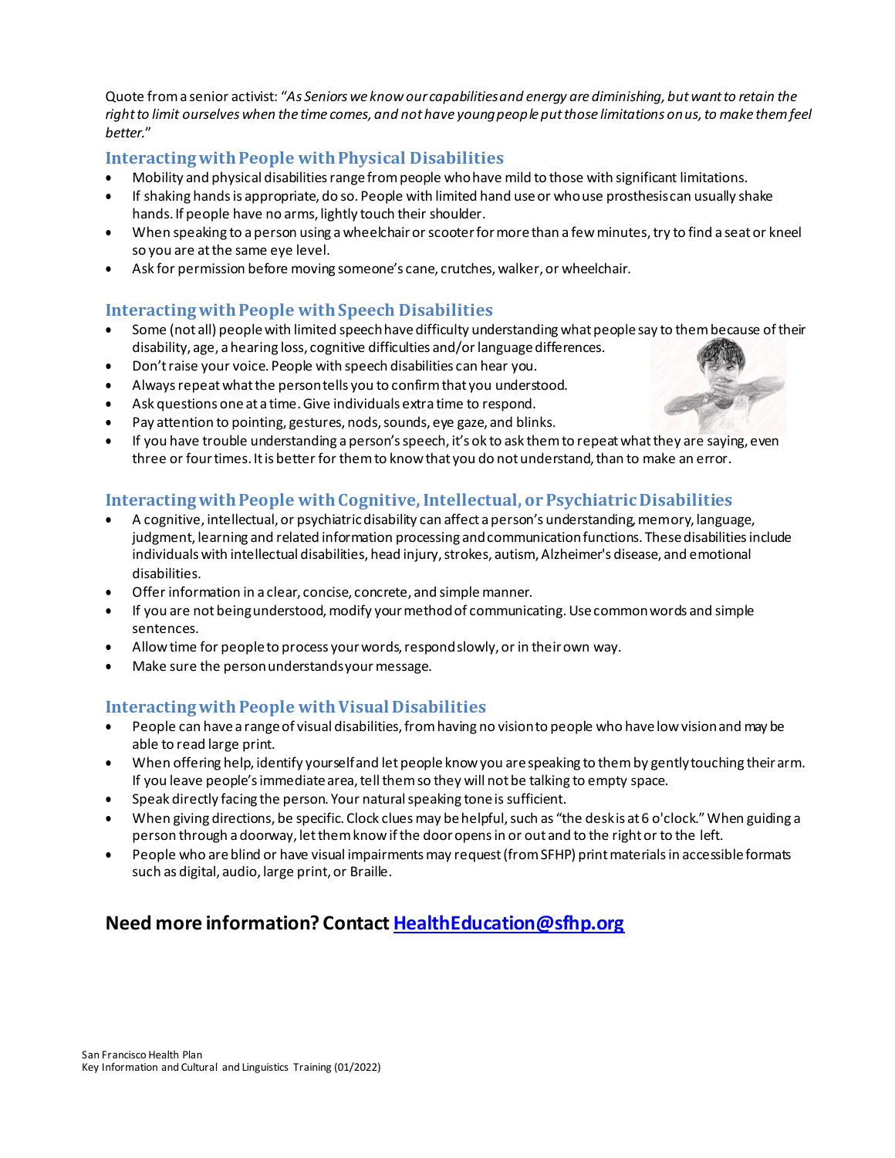Quote from a senior activist: "*As Seniors we know our capabilities and energy are diminishing, but want to retain the right to limit ourselves when the time comes, and not have young people put those limitations on us, to make them feel better.*"

# <span id="page-26-0"></span>**Interacting with People with Physical Disabilities**

- Mobility and physical disabilities range from people who have mild to those with significant limitations.
- If shaking hands is appropriate, do so. People with limited hand use or who use prosthesiscan usually shake hands. If people have no arms, lightly touch their shoulder.
- When speaking to a person using a wheelchair or scooter for more than a few minutes, try to find a seat or kneel so you are at the same eye level.
- Ask for permission before moving someone's cane, crutches, walker, or wheelchair.

# <span id="page-26-1"></span>**Interacting with People with Speech Disabilities**

- Some (not all) people with limited speech have difficulty understanding what people say to them because of their disability, age, a hearing loss, cognitive difficulties and/or languagedifferences.
- Don't raise your voice. People with speech disabilities can hear you.
- Always repeat what the person tells you to confirm that you understood.
- Ask questions one at a time. Give individuals extra time to respond.
- Pay attention to pointing, gestures, nods, sounds, eye gaze, and blinks.
- If you have trouble understanding a person'sspeech, it's ok to ask themto repeatwhatthey are saying, even three or four times. It is better for them to know that you do not understand, than to make an error.

# <span id="page-26-2"></span>**Interacting with People with Cognitive, Intellectual, or Psychiatric Disabilities**

- A cognitive, intellectual, or psychiatric disability can affect a person's understanding, memory, language, judgment, learning and related information processing and communication functions. These disabilities include individuals with intellectual disabilities, head injury, strokes, autism, Alzheimer's disease, and emotional disabilities.
- Offer information in a clear, concise, concrete, and simple manner.
- If you are not being understood, modify your method of communicating. Use common words and simple sentences.
- Allow time for people to process your words, respond slowly, or in their own way.
- Make sure the person understands your message.

# <span id="page-26-3"></span>**Interacting with People with Visual Disabilities**

- People can have a range of visual disabilities, from having no vision to people who have low vision and may be able to read large print.
- When offering help, identify yourselfand letpeople knowyou arespeaking to themby gentlytouching theirarm. If you leave people's immediate area, tell them so they will not be talking to empty space.
- Speak directly facing the person. Your natural speaking tone is sufficient.
- When giving directions, be specific. Clock clues may be helpful, such as "the deskis at 6 o'clock." When guiding a person through a doorway, let them know if the door opens in or out and to the right or to the left.
- People who are blind or have visual impairments may request (from SFHP) print materials in accessible formats such as digital, audio, large print, or Braille.

# **Need more information? Contac[t HealthEducation@sfhp.org](mailto:HealthEducation@sfhp.org)**